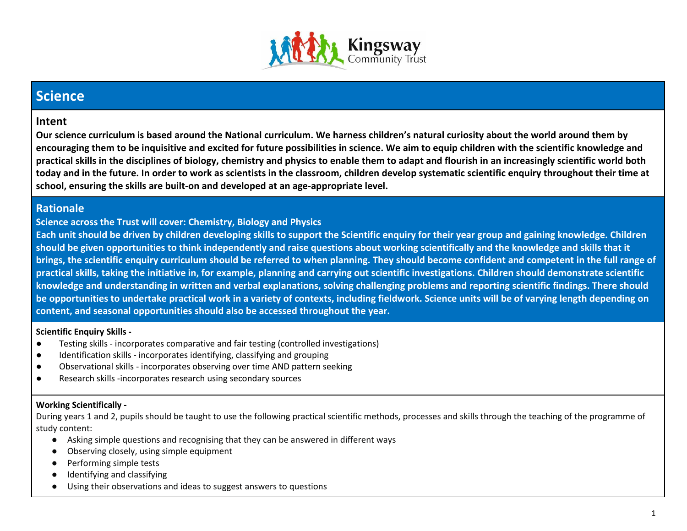

## **Science**

#### **Intent**

**Our science curriculum is based around the National curriculum. We harness children's natural curiosity about the world around them by encouraging them to be inquisitive and excited for future possibilities in science. We aim to equip children with the scientific knowledge and practical skills in the disciplines of biology, chemistry and physics to enable them to adapt and flourish in an increasingly scientific world both today and in the future. In order to work as scientists in the classroom, children develop systematic scientific enquiry throughout their time at school, ensuring the skills are built-on and developed at an age-appropriate level.**

#### **Rationale**

#### **Science across the Trust will cover: Chemistry, Biology and Physics**

**Each unit should be driven by children developing skills to support the Scientific enquiry for their year group and gaining knowledge. Children should be given opportunities to think independently and raise questions about working scientifically and the knowledge and skills that it brings, the scientific enquiry curriculum should be referred to when planning. They should become confident and competent in the full range of practical skills, taking the initiative in, for example, planning and carrying out scientific investigations. Children should demonstrate scientific knowledge and understanding in written and verbal explanations, solving challenging problems and reporting scientific findings. There should be opportunities to undertake practical work in a variety of contexts, including fieldwork. Science units will be of varying length depending on content, and seasonal opportunities should also be accessed throughout the year.**

#### **Scientific Enquiry Skills -**

- Testing skills incorporates comparative and fair testing (controlled investigations)
- Identification skills incorporates identifying, classifying and grouping
- Observational skills incorporates observing over time AND pattern seeking
- Research skills -incorporates research using secondary sources

#### **Working Scientifically -**

During years 1 and 2, pupils should be taught to use the following practical scientific methods, processes and skills through the teaching of the programme of study content:

- Asking simple questions and recognising that they can be answered in different ways
- Observing closely, using simple equipment
- Performing simple tests
- Identifying and classifying
- Using their observations and ideas to suggest answers to questions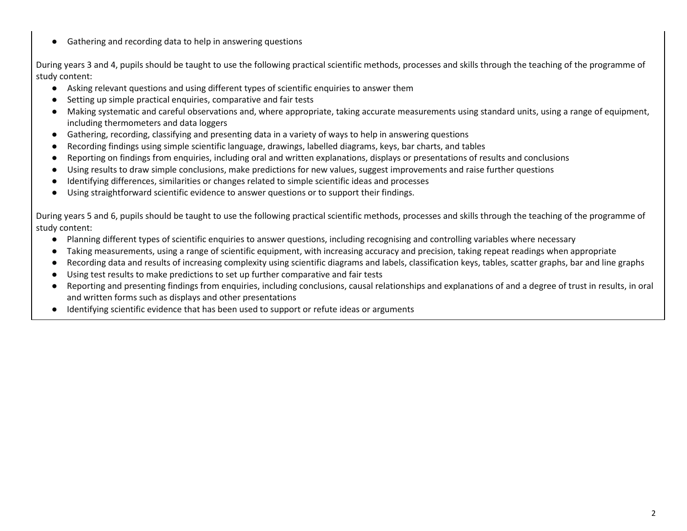● Gathering and recording data to help in answering questions

During years 3 and 4, pupils should be taught to use the following practical scientific methods, processes and skills through the teaching of the programme of study content:

- Asking relevant questions and using different types of scientific enquiries to answer them
- Setting up simple practical enquiries, comparative and fair tests
- Making systematic and careful observations and, where appropriate, taking accurate measurements using standard units, using a range of equipment, including thermometers and data loggers
- Gathering, recording, classifying and presenting data in a variety of ways to help in answering questions
- Recording findings using simple scientific language, drawings, labelled diagrams, keys, bar charts, and tables
- Reporting on findings from enquiries, including oral and written explanations, displays or presentations of results and conclusions
- Using results to draw simple conclusions, make predictions for new values, suggest improvements and raise further questions
- Identifying differences, similarities or changes related to simple scientific ideas and processes
- Using straightforward scientific evidence to answer questions or to support their findings.

During years 5 and 6, pupils should be taught to use the following practical scientific methods, processes and skills through the teaching of the programme of study content:

- Planning different types of scientific enquiries to answer questions, including recognising and controlling variables where necessary
- Taking measurements, using a range of scientific equipment, with increasing accuracy and precision, taking repeat readings when appropriate
- Recording data and results of increasing complexity using scientific diagrams and labels, classification keys, tables, scatter graphs, bar and line graphs
- Using test results to make predictions to set up further comparative and fair tests
- Reporting and presenting findings from enquiries, including conclusions, causal relationships and explanations of and a degree of trust in results, in oral and written forms such as displays and other presentations
- Identifying scientific evidence that has been used to support or refute ideas or arguments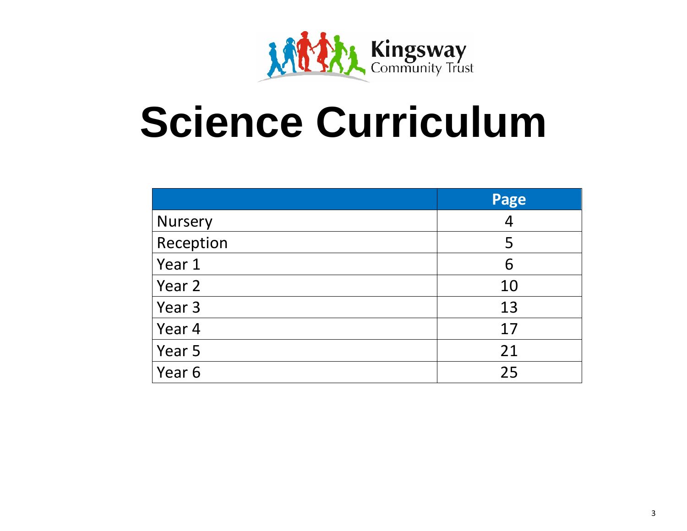

# **Science Curriculum**

|           | Page |
|-----------|------|
| Nursery   | 4    |
| Reception | 5    |
| Year 1    | 6    |
| Year 2    | 10   |
| Year 3    | 13   |
| Year 4    | 17   |
| Year 5    | 21   |
| Year 6    | 25   |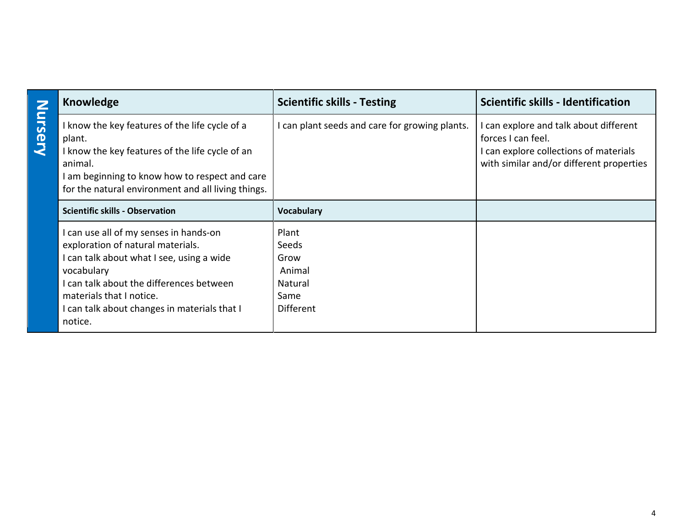| $\mathbf{z}$  | <b>Knowledge</b>                                                                                                                                                                                                                                                        | <b>Scientific skills - Testing</b>                                      | <b>Scientific skills - Identification</b>                                                                                                          |
|---------------|-------------------------------------------------------------------------------------------------------------------------------------------------------------------------------------------------------------------------------------------------------------------------|-------------------------------------------------------------------------|----------------------------------------------------------------------------------------------------------------------------------------------------|
| <u>ursery</u> | know the key features of the life cycle of a<br>plant.<br>I know the key features of the life cycle of an<br>animal.<br>am beginning to know how to respect and care<br>for the natural environment and all living things.                                              | I can plant seeds and care for growing plants.                          | I can explore and talk about different<br>forces I can feel.<br>I can explore collections of materials<br>with similar and/or different properties |
|               | <b>Scientific skills - Observation</b>                                                                                                                                                                                                                                  | <b>Vocabulary</b>                                                       |                                                                                                                                                    |
|               | I can use all of my senses in hands-on<br>exploration of natural materials.<br>I can talk about what I see, using a wide<br>vocabulary<br>can talk about the differences between<br>materials that I notice.<br>I can talk about changes in materials that I<br>notice. | Plant<br>Seeds<br>Grow<br>Animal<br>Natural<br>Same<br><b>Different</b> |                                                                                                                                                    |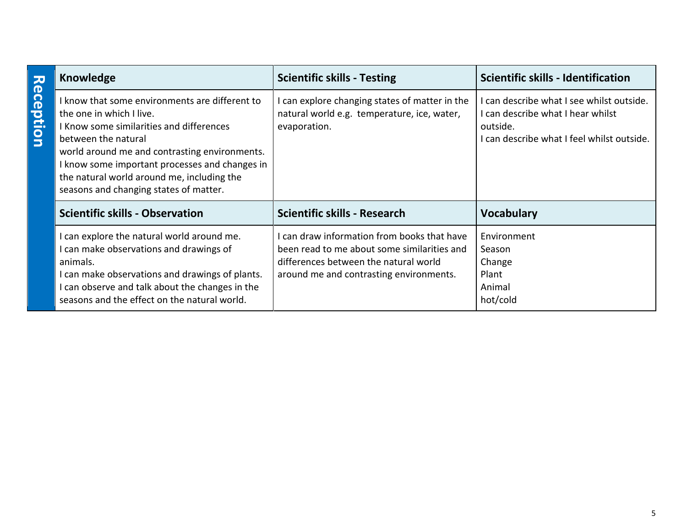| $\overline{\bm{v}}$ | Knowledge                                                                                                                                                                                                                                                                                                                            | <b>Scientific skills - Testing</b>                                                                                                                                             | <b>Scientific skills - Identification</b>                                                                                            |
|---------------------|--------------------------------------------------------------------------------------------------------------------------------------------------------------------------------------------------------------------------------------------------------------------------------------------------------------------------------------|--------------------------------------------------------------------------------------------------------------------------------------------------------------------------------|--------------------------------------------------------------------------------------------------------------------------------------|
| eception            | know that some environments are different to<br>the one in which I live.<br>Know some similarities and differences<br>between the natural<br>world around me and contrasting environments.<br>I know some important processes and changes in<br>the natural world around me, including the<br>seasons and changing states of matter. | I can explore changing states of matter in the<br>natural world e.g. temperature, ice, water,<br>evaporation.                                                                  | can describe what I see whilst outside.<br>I can describe what I hear whilst<br>outside.<br>can describe what I feel whilst outside. |
|                     | <b>Scientific skills - Observation</b>                                                                                                                                                                                                                                                                                               | <b>Scientific skills - Research</b>                                                                                                                                            | <b>Vocabulary</b>                                                                                                                    |
|                     | I can explore the natural world around me.<br>I can make observations and drawings of<br>animals.<br>I can make observations and drawings of plants.<br>I can observe and talk about the changes in the<br>seasons and the effect on the natural world.                                                                              | I can draw information from books that have<br>been read to me about some similarities and<br>differences between the natural world<br>around me and contrasting environments. | Environment<br>Season<br>Change<br>Plant<br>Animal<br>hot/cold                                                                       |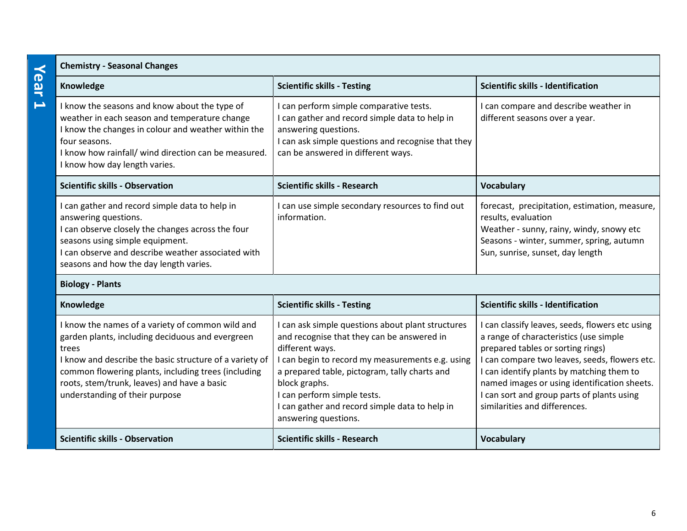# **Year 1**

#### **Chemistry - Seasonal Changes**

| Knowledge                                                                                                                                                                                                                                                       | <b>Scientific skills - Testing</b>                                                                                                                                                                        | <b>Scientific skills - Identification</b>                                                                                                                                                        |
|-----------------------------------------------------------------------------------------------------------------------------------------------------------------------------------------------------------------------------------------------------------------|-----------------------------------------------------------------------------------------------------------------------------------------------------------------------------------------------------------|--------------------------------------------------------------------------------------------------------------------------------------------------------------------------------------------------|
| I know the seasons and know about the type of<br>weather in each season and temperature change<br>I know the changes in colour and weather within the<br>four seasons.<br>I know how rainfall/ wind direction can be measured.<br>I know how day length varies. | can perform simple comparative tests.<br>can gather and record simple data to help in<br>answering questions.<br>I can ask simple questions and recognise that they<br>can be answered in different ways. | I can compare and describe weather in<br>different seasons over a year.                                                                                                                          |
| <b>Scientific skills - Observation</b>                                                                                                                                                                                                                          | Scientific skills - Research                                                                                                                                                                              | <b>Vocabulary</b>                                                                                                                                                                                |
| can gather and record simple data to help in<br>answering questions.<br>I can observe closely the changes across the four<br>seasons using simple equipment.<br>I can observe and describe weather associated with<br>seasons and how the day length varies.    | can use simple secondary resources to find out<br>information.                                                                                                                                            | forecast, precipitation, estimation, measure,<br>results, evaluation<br>Weather - sunny, rainy, windy, snowy etc<br>Seasons - winter, summer, spring, autumn<br>Sun, sunrise, sunset, day length |

#### **Biology - Plants**

| Knowledge                                                                                                                                                                                                                                                                                                    | <b>Scientific skills - Testing</b>                                                                                                                                                                                                                                                                                                              | <b>Scientific skills - Identification</b>                                                                                                                                                                                                                                                                                                               |
|--------------------------------------------------------------------------------------------------------------------------------------------------------------------------------------------------------------------------------------------------------------------------------------------------------------|-------------------------------------------------------------------------------------------------------------------------------------------------------------------------------------------------------------------------------------------------------------------------------------------------------------------------------------------------|---------------------------------------------------------------------------------------------------------------------------------------------------------------------------------------------------------------------------------------------------------------------------------------------------------------------------------------------------------|
| know the names of a variety of common wild and<br>garden plants, including deciduous and evergreen<br>trees<br>know and describe the basic structure of a variety of<br>common flowering plants, including trees (including<br>roots, stem/trunk, leaves) and have a basic<br>understanding of their purpose | I can ask simple questions about plant structures<br>and recognise that they can be answered in<br>different ways.<br>can begin to record my measurements e.g. using<br>a prepared table, pictogram, tally charts and<br>block graphs.<br>I can perform simple tests.<br>I can gather and record simple data to help in<br>answering questions. | I can classify leaves, seeds, flowers etc using<br>a range of characteristics (use simple<br>prepared tables or sorting rings)<br>can compare two leaves, seeds, flowers etc.<br>I can identify plants by matching them to<br>named images or using identification sheets.<br>can sort and group parts of plants using<br>similarities and differences. |
| <b>Scientific skills - Observation</b>                                                                                                                                                                                                                                                                       | <b>Scientific skills - Research</b>                                                                                                                                                                                                                                                                                                             | <b>Vocabulary</b>                                                                                                                                                                                                                                                                                                                                       |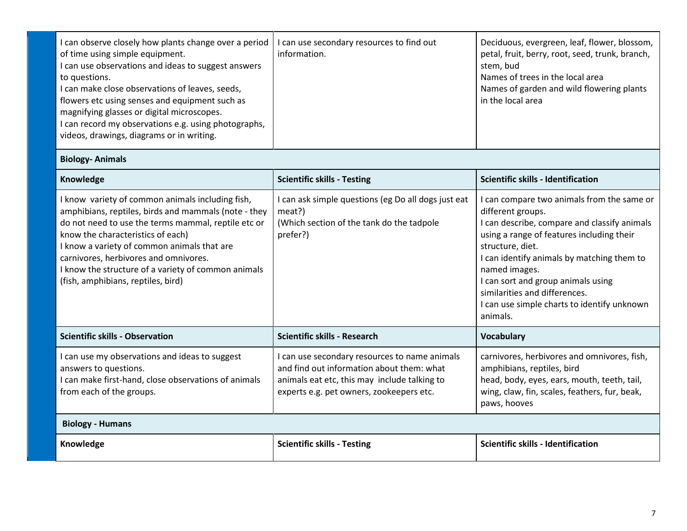#### **Biology- Animals**

| Knowledge                                                                                                                                                                                                                                                                                                                                                                                 | <b>Scientific skills - Testing</b>                                                                                                                                                     | <b>Scientific skills - Identification</b>                                                                                                                                                                                                                                                                                                                                         |
|-------------------------------------------------------------------------------------------------------------------------------------------------------------------------------------------------------------------------------------------------------------------------------------------------------------------------------------------------------------------------------------------|----------------------------------------------------------------------------------------------------------------------------------------------------------------------------------------|-----------------------------------------------------------------------------------------------------------------------------------------------------------------------------------------------------------------------------------------------------------------------------------------------------------------------------------------------------------------------------------|
| I know variety of common animals including fish,<br>amphibians, reptiles, birds and mammals (note - they<br>do not need to use the terms mammal, reptile etc or<br>know the characteristics of each)<br>I know a variety of common animals that are<br>carnivores, herbivores and omnivores.<br>I know the structure of a variety of common animals<br>(fish, amphibians, reptiles, bird) | I can ask simple questions (eg Do all dogs just eat<br>meat?)<br>(Which section of the tank do the tadpole)<br>prefer?)                                                                | I can compare two animals from the same or<br>different groups.<br>I can describe, compare and classify animals<br>using a range of features including their<br>structure, diet.<br>I can identify animals by matching them to<br>named images.<br>I can sort and group animals using<br>similarities and differences.<br>I can use simple charts to identify unknown<br>animals. |
| <b>Scientific skills - Observation</b>                                                                                                                                                                                                                                                                                                                                                    | <b>Scientific skills - Research</b>                                                                                                                                                    | <b>Vocabulary</b>                                                                                                                                                                                                                                                                                                                                                                 |
| I can use my observations and ideas to suggest<br>answers to questions.<br>I can make first-hand, close observations of animals<br>from each of the groups.                                                                                                                                                                                                                               | I can use secondary resources to name animals<br>and find out information about them: what<br>animals eat etc, this may include talking to<br>experts e.g. pet owners, zookeepers etc. | carnivores, herbivores and omnivores, fish,<br>amphibians, reptiles, bird<br>head, body, eyes, ears, mouth, teeth, tail,<br>wing, claw, fin, scales, feathers, fur, beak,<br>paws, hooves                                                                                                                                                                                         |
| <b>Biology - Humans</b>                                                                                                                                                                                                                                                                                                                                                                   |                                                                                                                                                                                        |                                                                                                                                                                                                                                                                                                                                                                                   |
| Knowledge                                                                                                                                                                                                                                                                                                                                                                                 | <b>Scientific skills - Testing</b>                                                                                                                                                     | <b>Scientific skills - Identification</b>                                                                                                                                                                                                                                                                                                                                         |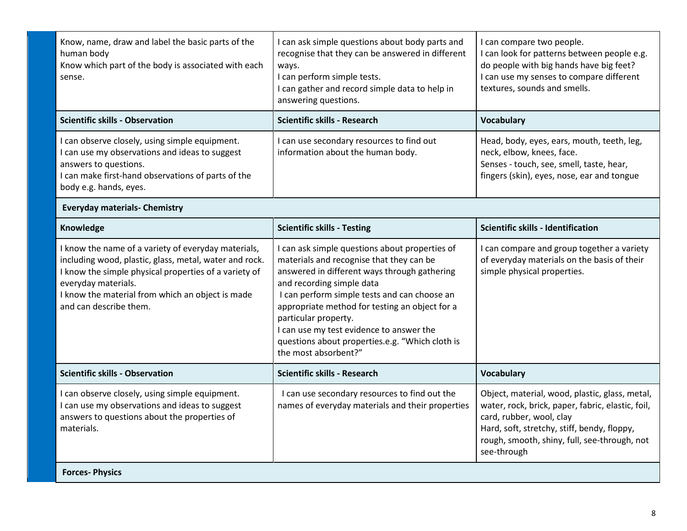| Know, name, draw and label the basic parts of the<br>human body<br>Know which part of the body is associated with each<br>sense.                                                                                                                                            | I can ask simple questions about body parts and<br>recognise that they can be answered in different<br>ways.<br>I can perform simple tests.<br>I can gather and record simple data to help in<br>answering questions.                                                                                                                                                                                                    | I can compare two people.<br>I can look for patterns between people e.g.<br>do people with big hands have big feet?<br>I can use my senses to compare different<br>textures, sounds and smells.                                               |
|-----------------------------------------------------------------------------------------------------------------------------------------------------------------------------------------------------------------------------------------------------------------------------|--------------------------------------------------------------------------------------------------------------------------------------------------------------------------------------------------------------------------------------------------------------------------------------------------------------------------------------------------------------------------------------------------------------------------|-----------------------------------------------------------------------------------------------------------------------------------------------------------------------------------------------------------------------------------------------|
| <b>Scientific skills - Observation</b>                                                                                                                                                                                                                                      | <b>Scientific skills - Research</b>                                                                                                                                                                                                                                                                                                                                                                                      | <b>Vocabulary</b>                                                                                                                                                                                                                             |
| I can observe closely, using simple equipment.<br>I can use my observations and ideas to suggest<br>answers to questions.<br>I can make first-hand observations of parts of the<br>body e.g. hands, eyes.                                                                   | I can use secondary resources to find out<br>information about the human body.                                                                                                                                                                                                                                                                                                                                           | Head, body, eyes, ears, mouth, teeth, leg,<br>neck, elbow, knees, face.<br>Senses - touch, see, smell, taste, hear,<br>fingers (skin), eyes, nose, ear and tongue                                                                             |
| <b>Everyday materials- Chemistry</b>                                                                                                                                                                                                                                        |                                                                                                                                                                                                                                                                                                                                                                                                                          |                                                                                                                                                                                                                                               |
| Knowledge                                                                                                                                                                                                                                                                   | <b>Scientific skills - Testing</b>                                                                                                                                                                                                                                                                                                                                                                                       | <b>Scientific skills - Identification</b>                                                                                                                                                                                                     |
| I know the name of a variety of everyday materials,<br>including wood, plastic, glass, metal, water and rock.<br>I know the simple physical properties of a variety of<br>everyday materials.<br>I know the material from which an object is made<br>and can describe them. | I can ask simple questions about properties of<br>materials and recognise that they can be<br>answered in different ways through gathering<br>and recording simple data<br>I can perform simple tests and can choose an<br>appropriate method for testing an object for a<br>particular property.<br>I can use my test evidence to answer the<br>questions about properties.e.g. "Which cloth is<br>the most absorbent?" | I can compare and group together a variety<br>of everyday materials on the basis of their<br>simple physical properties.                                                                                                                      |
| <b>Scientific skills - Observation</b>                                                                                                                                                                                                                                      | <b>Scientific skills - Research</b>                                                                                                                                                                                                                                                                                                                                                                                      | <b>Vocabulary</b>                                                                                                                                                                                                                             |
| I can observe closely, using simple equipment.<br>I can use my observations and ideas to suggest<br>answers to questions about the properties of<br>materials.                                                                                                              | I can use secondary resources to find out the<br>names of everyday materials and their properties                                                                                                                                                                                                                                                                                                                        | Object, material, wood, plastic, glass, metal,<br>water, rock, brick, paper, fabric, elastic, foil,<br>card, rubber, wool, clay<br>Hard, soft, stretchy, stiff, bendy, floppy,<br>rough, smooth, shiny, full, see-through, not<br>see-through |
| <b>Forces-Physics</b>                                                                                                                                                                                                                                                       |                                                                                                                                                                                                                                                                                                                                                                                                                          |                                                                                                                                                                                                                                               |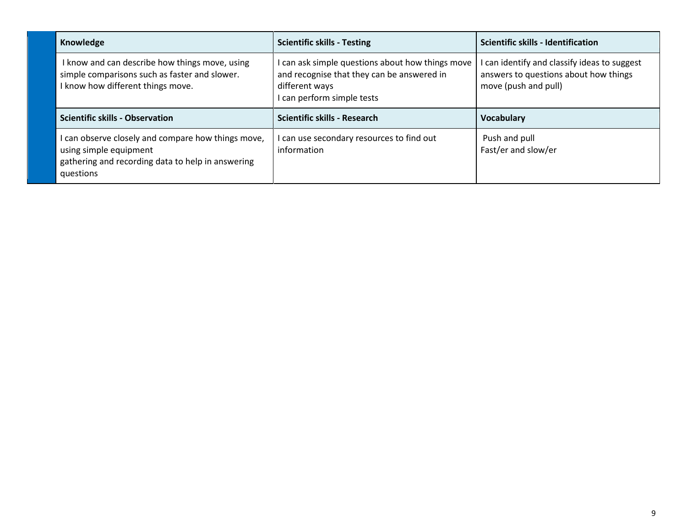| Knowledge                                                                                                                                    | <b>Scientific skills - Testing</b>                                                                                                             | Scientific skills - Identification                                                                            |
|----------------------------------------------------------------------------------------------------------------------------------------------|------------------------------------------------------------------------------------------------------------------------------------------------|---------------------------------------------------------------------------------------------------------------|
| I know and can describe how things move, using<br>simple comparisons such as faster and slower.<br>know how different things move.           | I can ask simple questions about how things move<br>and recognise that they can be answered in<br>different ways<br>I can perform simple tests | I can identify and classify ideas to suggest<br>answers to questions about how things<br>move (push and pull) |
| <b>Scientific skills - Observation</b>                                                                                                       | Scientific skills - Research                                                                                                                   | <b>Vocabulary</b>                                                                                             |
| can observe closely and compare how things move,<br>using simple equipment<br>gathering and recording data to help in answering<br>questions | I can use secondary resources to find out<br>information                                                                                       | Push and pull<br>Fast/er and slow/er                                                                          |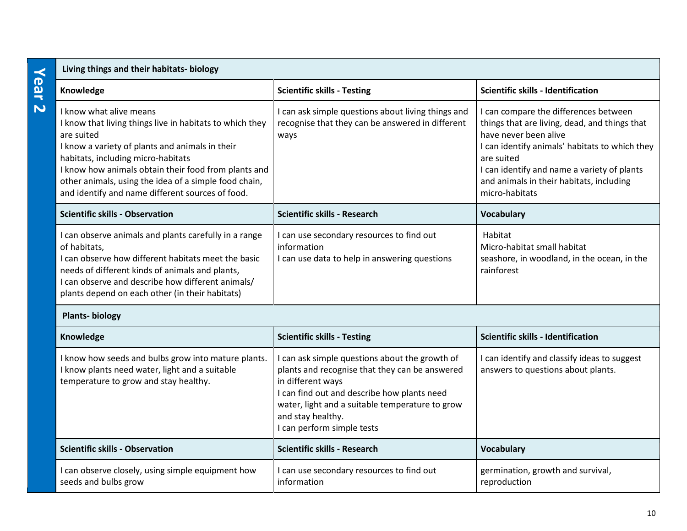|                         | Living things and their habitats- biology                                                                                                                                                                                                                                                                                                                       |                                                                                                                                                                                                                                                                            |                                                                                                                                                                                                                                                                                              |
|-------------------------|-----------------------------------------------------------------------------------------------------------------------------------------------------------------------------------------------------------------------------------------------------------------------------------------------------------------------------------------------------------------|----------------------------------------------------------------------------------------------------------------------------------------------------------------------------------------------------------------------------------------------------------------------------|----------------------------------------------------------------------------------------------------------------------------------------------------------------------------------------------------------------------------------------------------------------------------------------------|
| Year                    | Knowledge                                                                                                                                                                                                                                                                                                                                                       | <b>Scientific skills - Testing</b>                                                                                                                                                                                                                                         | <b>Scientific skills - Identification</b>                                                                                                                                                                                                                                                    |
| $\overline{\mathbf{v}}$ | I know what alive means<br>I know that living things live in habitats to which they<br>are suited<br>I know a variety of plants and animals in their<br>habitats, including micro-habitats<br>I know how animals obtain their food from plants and<br>other animals, using the idea of a simple food chain,<br>and identify and name different sources of food. | I can ask simple questions about living things and<br>recognise that they can be answered in different<br>ways                                                                                                                                                             | I can compare the differences between<br>things that are living, dead, and things that<br>have never been alive<br>I can identify animals' habitats to which they<br>are suited<br>I can identify and name a variety of plants<br>and animals in their habitats, including<br>micro-habitats |
|                         | <b>Scientific skills - Observation</b>                                                                                                                                                                                                                                                                                                                          | <b>Scientific skills - Research</b>                                                                                                                                                                                                                                        | <b>Vocabulary</b>                                                                                                                                                                                                                                                                            |
|                         | I can observe animals and plants carefully in a range<br>of habitats,<br>I can observe how different habitats meet the basic<br>needs of different kinds of animals and plants,<br>I can observe and describe how different animals/<br>plants depend on each other (in their habitats)                                                                         | I can use secondary resources to find out<br>information<br>I can use data to help in answering questions                                                                                                                                                                  | Habitat<br>Micro-habitat small habitat<br>seashore, in woodland, in the ocean, in the<br>rainforest                                                                                                                                                                                          |
|                         | <b>Plants-biology</b>                                                                                                                                                                                                                                                                                                                                           |                                                                                                                                                                                                                                                                            |                                                                                                                                                                                                                                                                                              |
|                         | Knowledge                                                                                                                                                                                                                                                                                                                                                       | <b>Scientific skills - Testing</b>                                                                                                                                                                                                                                         | <b>Scientific skills - Identification</b>                                                                                                                                                                                                                                                    |
|                         | I know how seeds and bulbs grow into mature plants.<br>I know plants need water, light and a suitable<br>temperature to grow and stay healthy.                                                                                                                                                                                                                  | I can ask simple questions about the growth of<br>plants and recognise that they can be answered<br>in different ways<br>I can find out and describe how plants need<br>water, light and a suitable temperature to grow<br>and stay healthy.<br>I can perform simple tests | I can identify and classify ideas to suggest<br>answers to questions about plants.                                                                                                                                                                                                           |
|                         | <b>Scientific skills - Observation</b>                                                                                                                                                                                                                                                                                                                          | <b>Scientific skills - Research</b>                                                                                                                                                                                                                                        | <b>Vocabulary</b>                                                                                                                                                                                                                                                                            |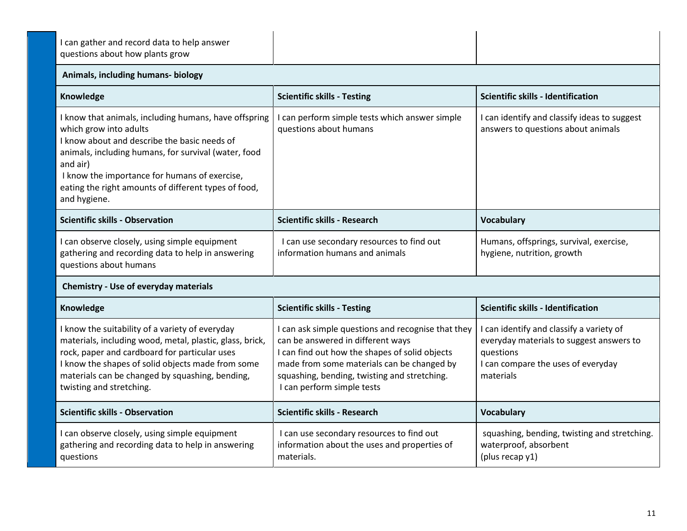| I can gather and record data to help answer<br>questions about how plants grow                                                                                                                                                                                                                                               |                                                                                                                                                                                                                                                                       |                                                                                                                                                      |
|------------------------------------------------------------------------------------------------------------------------------------------------------------------------------------------------------------------------------------------------------------------------------------------------------------------------------|-----------------------------------------------------------------------------------------------------------------------------------------------------------------------------------------------------------------------------------------------------------------------|------------------------------------------------------------------------------------------------------------------------------------------------------|
| Animals, including humans- biology                                                                                                                                                                                                                                                                                           |                                                                                                                                                                                                                                                                       |                                                                                                                                                      |
| Knowledge                                                                                                                                                                                                                                                                                                                    | <b>Scientific skills - Testing</b>                                                                                                                                                                                                                                    | <b>Scientific skills - Identification</b>                                                                                                            |
| I know that animals, including humans, have offspring<br>which grow into adults<br>I know about and describe the basic needs of<br>animals, including humans, for survival (water, food<br>and air)<br>I know the importance for humans of exercise,<br>eating the right amounts of different types of food,<br>and hygiene. | I can perform simple tests which answer simple<br>questions about humans                                                                                                                                                                                              | I can identify and classify ideas to suggest<br>answers to questions about animals                                                                   |
| <b>Scientific skills - Observation</b>                                                                                                                                                                                                                                                                                       | <b>Scientific skills - Research</b>                                                                                                                                                                                                                                   | <b>Vocabulary</b>                                                                                                                                    |
| I can observe closely, using simple equipment<br>gathering and recording data to help in answering<br>questions about humans                                                                                                                                                                                                 | I can use secondary resources to find out<br>information humans and animals                                                                                                                                                                                           | Humans, offsprings, survival, exercise,<br>hygiene, nutrition, growth                                                                                |
| Chemistry - Use of everyday materials                                                                                                                                                                                                                                                                                        |                                                                                                                                                                                                                                                                       |                                                                                                                                                      |
| Knowledge                                                                                                                                                                                                                                                                                                                    | <b>Scientific skills - Testing</b>                                                                                                                                                                                                                                    | <b>Scientific skills - Identification</b>                                                                                                            |
| I know the suitability of a variety of everyday<br>materials, including wood, metal, plastic, glass, brick,<br>rock, paper and cardboard for particular uses<br>I know the shapes of solid objects made from some<br>materials can be changed by squashing, bending,<br>twisting and stretching.                             | I can ask simple questions and recognise that they<br>can be answered in different ways<br>I can find out how the shapes of solid objects<br>made from some materials can be changed by<br>squashing, bending, twisting and stretching.<br>I can perform simple tests | I can identify and classify a variety of<br>everyday materials to suggest answers to<br>questions<br>I can compare the uses of everyday<br>materials |
| <b>Scientific skills - Observation</b>                                                                                                                                                                                                                                                                                       | <b>Scientific skills - Research</b>                                                                                                                                                                                                                                   | <b>Vocabulary</b>                                                                                                                                    |
| I can observe closely, using simple equipment<br>gathering and recording data to help in answering<br>questions                                                                                                                                                                                                              | I can use secondary resources to find out<br>information about the uses and properties of<br>materials.                                                                                                                                                               | squashing, bending, twisting and stretching.<br>waterproof, absorbent<br>(plus recap y1)                                                             |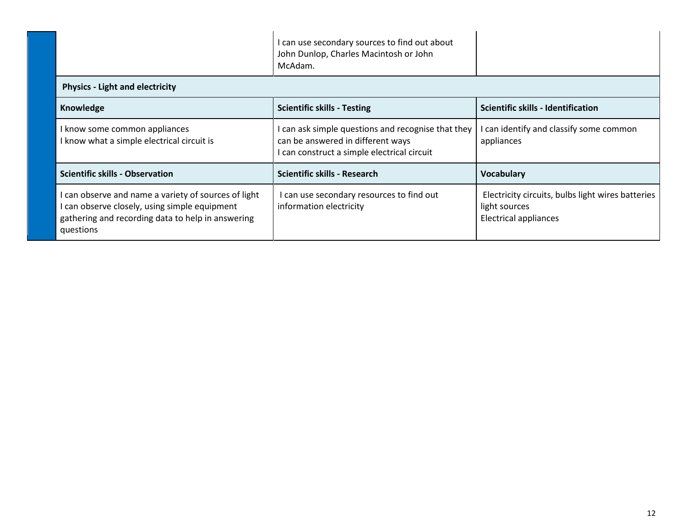|                                                                                                                                                                         | I can use secondary sources to find out about<br>John Dunlop, Charles Macintosh or John<br>McAdam.                                     |                                                                                                    |
|-------------------------------------------------------------------------------------------------------------------------------------------------------------------------|----------------------------------------------------------------------------------------------------------------------------------------|----------------------------------------------------------------------------------------------------|
| <b>Physics - Light and electricity</b>                                                                                                                                  |                                                                                                                                        |                                                                                                    |
| Knowledge                                                                                                                                                               | <b>Scientific skills - Testing</b>                                                                                                     | Scientific skills - Identification                                                                 |
| I know some common appliances<br>I know what a simple electrical circuit is                                                                                             | I can ask simple questions and recognise that they<br>can be answered in different ways<br>I can construct a simple electrical circuit | can identify and classify some common<br>appliances                                                |
| <b>Scientific skills - Observation</b>                                                                                                                                  | Scientific skills - Research                                                                                                           | Vocabulary                                                                                         |
| I can observe and name a variety of sources of light<br>I can observe closely, using simple equipment<br>gathering and recording data to help in answering<br>questions | can use secondary resources to find out<br>information electricity                                                                     | Electricity circuits, bulbs light wires batteries<br>light sources<br><b>Electrical appliances</b> |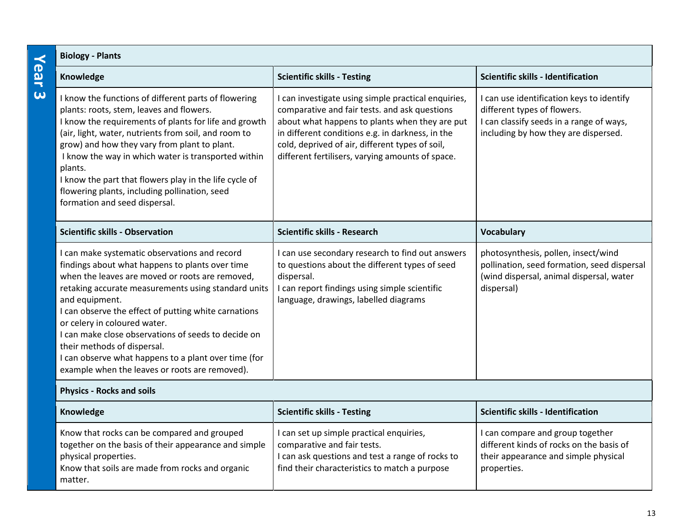|                       | <b>Biology - Plants</b>                                                                                                                                                                                                                                                                                                                                                                                                                                                                                              |                                                                                                                                                                                                                                                                                                                   |                                                                                                                                                              |
|-----------------------|----------------------------------------------------------------------------------------------------------------------------------------------------------------------------------------------------------------------------------------------------------------------------------------------------------------------------------------------------------------------------------------------------------------------------------------------------------------------------------------------------------------------|-------------------------------------------------------------------------------------------------------------------------------------------------------------------------------------------------------------------------------------------------------------------------------------------------------------------|--------------------------------------------------------------------------------------------------------------------------------------------------------------|
| Year                  | Knowledge                                                                                                                                                                                                                                                                                                                                                                                                                                                                                                            | <b>Scientific skills - Testing</b>                                                                                                                                                                                                                                                                                | <b>Scientific skills - Identification</b>                                                                                                                    |
| $\boldsymbol{\omega}$ | I know the functions of different parts of flowering<br>plants: roots, stem, leaves and flowers.<br>I know the requirements of plants for life and growth<br>(air, light, water, nutrients from soil, and room to<br>grow) and how they vary from plant to plant.<br>I know the way in which water is transported within<br>plants.<br>I know the part that flowers play in the life cycle of<br>flowering plants, including pollination, seed<br>formation and seed dispersal.                                      | I can investigate using simple practical enquiries,<br>comparative and fair tests. and ask questions<br>about what happens to plants when they are put<br>in different conditions e.g. in darkness, in the<br>cold, deprived of air, different types of soil,<br>different fertilisers, varying amounts of space. | I can use identification keys to identify<br>different types of flowers.<br>I can classify seeds in a range of ways,<br>including by how they are dispersed. |
|                       | <b>Scientific skills - Observation</b>                                                                                                                                                                                                                                                                                                                                                                                                                                                                               | <b>Scientific skills - Research</b>                                                                                                                                                                                                                                                                               | <b>Vocabulary</b>                                                                                                                                            |
|                       | I can make systematic observations and record<br>findings about what happens to plants over time<br>when the leaves are moved or roots are removed,<br>retaking accurate measurements using standard units<br>and equipment.<br>I can observe the effect of putting white carnations<br>or celery in coloured water.<br>I can make close observations of seeds to decide on<br>their methods of dispersal.<br>I can observe what happens to a plant over time (for<br>example when the leaves or roots are removed). | I can use secondary research to find out answers<br>to questions about the different types of seed<br>dispersal.<br>I can report findings using simple scientific<br>language, drawings, labelled diagrams                                                                                                        | photosynthesis, pollen, insect/wind<br>pollination, seed formation, seed dispersal<br>(wind dispersal, animal dispersal, water<br>dispersal)                 |
|                       | <b>Physics - Rocks and soils</b>                                                                                                                                                                                                                                                                                                                                                                                                                                                                                     |                                                                                                                                                                                                                                                                                                                   |                                                                                                                                                              |
|                       | Knowledge                                                                                                                                                                                                                                                                                                                                                                                                                                                                                                            | <b>Scientific skills - Testing</b>                                                                                                                                                                                                                                                                                | <b>Scientific skills - Identification</b>                                                                                                                    |
|                       | Know that rocks can be compared and grouped<br>together on the basis of their appearance and simple<br>physical properties.                                                                                                                                                                                                                                                                                                                                                                                          | I can set up simple practical enquiries,<br>comparative and fair tests.<br>I can ask questions and test a range of rocks to                                                                                                                                                                                       | I can compare and group together<br>different kinds of rocks on the basis of<br>their appearance and simple physical                                         |

find their characteristics to match a purpose

Know that soils are made from rocks and organic

matter.

properties.

13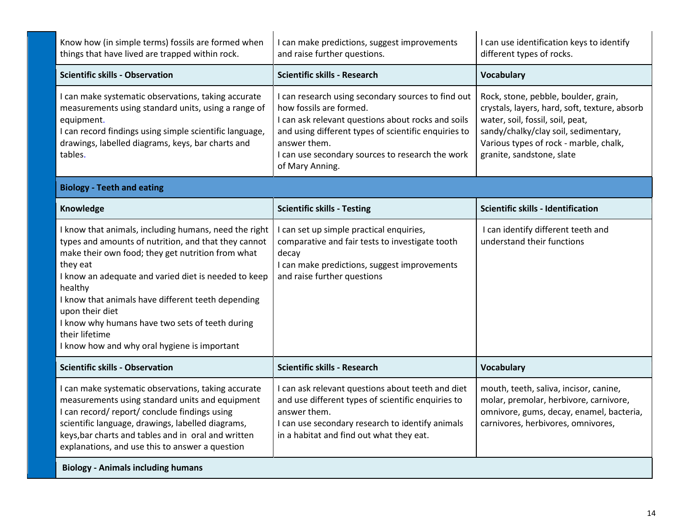| Know how (in simple terms) fossils are formed when<br>things that have lived are trapped within rock.                                                                                                                                                                                                                                                                                                                                           | I can make predictions, suggest improvements<br>and raise further questions.                                                                                                                                                                                                       | I can use identification keys to identify<br>different types of rocks.                                                                                                                                                                   |
|-------------------------------------------------------------------------------------------------------------------------------------------------------------------------------------------------------------------------------------------------------------------------------------------------------------------------------------------------------------------------------------------------------------------------------------------------|------------------------------------------------------------------------------------------------------------------------------------------------------------------------------------------------------------------------------------------------------------------------------------|------------------------------------------------------------------------------------------------------------------------------------------------------------------------------------------------------------------------------------------|
| <b>Scientific skills - Observation</b>                                                                                                                                                                                                                                                                                                                                                                                                          | <b>Scientific skills - Research</b>                                                                                                                                                                                                                                                | <b>Vocabulary</b>                                                                                                                                                                                                                        |
| I can make systematic observations, taking accurate<br>measurements using standard units, using a range of<br>equipment.<br>I can record findings using simple scientific language,<br>drawings, labelled diagrams, keys, bar charts and<br>tables.                                                                                                                                                                                             | I can research using secondary sources to find out<br>how fossils are formed.<br>I can ask relevant questions about rocks and soils<br>and using different types of scientific enquiries to<br>answer them.<br>I can use secondary sources to research the work<br>of Mary Anning. | Rock, stone, pebble, boulder, grain,<br>crystals, layers, hard, soft, texture, absorb<br>water, soil, fossil, soil, peat,<br>sandy/chalky/clay soil, sedimentary,<br>Various types of rock - marble, chalk,<br>granite, sandstone, slate |
| <b>Biology - Teeth and eating</b>                                                                                                                                                                                                                                                                                                                                                                                                               |                                                                                                                                                                                                                                                                                    |                                                                                                                                                                                                                                          |
| Knowledge                                                                                                                                                                                                                                                                                                                                                                                                                                       | <b>Scientific skills - Testing</b>                                                                                                                                                                                                                                                 | <b>Scientific skills - Identification</b>                                                                                                                                                                                                |
| I know that animals, including humans, need the right<br>types and amounts of nutrition, and that they cannot<br>make their own food; they get nutrition from what<br>they eat<br>I know an adequate and varied diet is needed to keep<br>healthy<br>I know that animals have different teeth depending<br>upon their diet<br>I know why humans have two sets of teeth during<br>their lifetime<br>I know how and why oral hygiene is important | I can set up simple practical enquiries,<br>comparative and fair tests to investigate tooth<br>decay<br>I can make predictions, suggest improvements<br>and raise further questions                                                                                                | I can identify different teeth and<br>understand their functions                                                                                                                                                                         |
| <b>Scientific skills - Observation</b>                                                                                                                                                                                                                                                                                                                                                                                                          | <b>Scientific skills - Research</b>                                                                                                                                                                                                                                                | <b>Vocabulary</b>                                                                                                                                                                                                                        |
| I can make systematic observations, taking accurate<br>measurements using standard units and equipment<br>I can record/report/conclude findings using<br>scientific language, drawings, labelled diagrams,<br>keys, bar charts and tables and in oral and written<br>explanations, and use this to answer a question                                                                                                                            | I can ask relevant questions about teeth and diet<br>and use different types of scientific enquiries to<br>answer them.<br>I can use secondary research to identify animals<br>in a habitat and find out what they eat.                                                            | mouth, teeth, saliva, incisor, canine,<br>molar, premolar, herbivore, carnivore,<br>omnivore, gums, decay, enamel, bacteria,<br>carnivores, herbivores, omnivores,                                                                       |
| <b>Biology - Animals including humans</b>                                                                                                                                                                                                                                                                                                                                                                                                       |                                                                                                                                                                                                                                                                                    |                                                                                                                                                                                                                                          |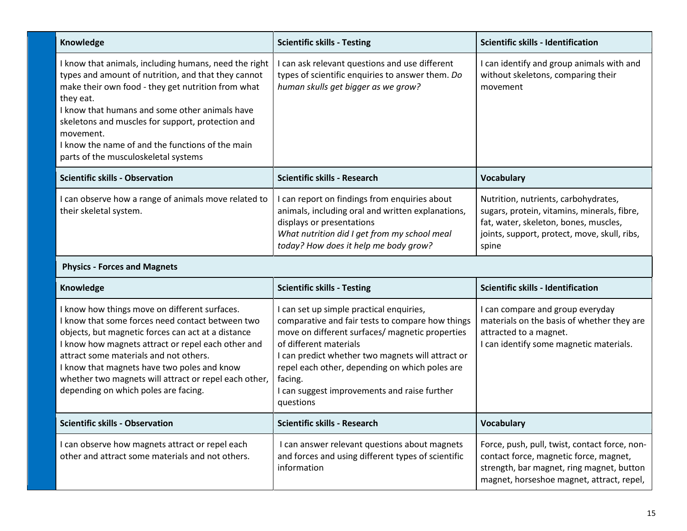| Knowledge                                                                                                                                                                                                                                                                                                                                                                                               | <b>Scientific skills - Testing</b>                                                                                                                                                                                                                                                                                                                       | <b>Scientific skills - Identification</b>                                                                                                                                             |
|---------------------------------------------------------------------------------------------------------------------------------------------------------------------------------------------------------------------------------------------------------------------------------------------------------------------------------------------------------------------------------------------------------|----------------------------------------------------------------------------------------------------------------------------------------------------------------------------------------------------------------------------------------------------------------------------------------------------------------------------------------------------------|---------------------------------------------------------------------------------------------------------------------------------------------------------------------------------------|
| I know that animals, including humans, need the right<br>types and amount of nutrition, and that they cannot<br>make their own food - they get nutrition from what<br>they eat.<br>I know that humans and some other animals have<br>skeletons and muscles for support, protection and<br>movement.<br>I know the name of and the functions of the main<br>parts of the musculoskeletal systems         | I can ask relevant questions and use different<br>types of scientific enquiries to answer them. Do<br>human skulls get bigger as we grow?                                                                                                                                                                                                                | I can identify and group animals with and<br>without skeletons, comparing their<br>movement                                                                                           |
| <b>Scientific skills - Observation</b>                                                                                                                                                                                                                                                                                                                                                                  | <b>Scientific skills - Research</b>                                                                                                                                                                                                                                                                                                                      | <b>Vocabulary</b>                                                                                                                                                                     |
| I can observe how a range of animals move related to<br>their skeletal system.                                                                                                                                                                                                                                                                                                                          | I can report on findings from enquiries about<br>animals, including oral and written explanations,<br>displays or presentations<br>What nutrition did I get from my school meal<br>today? How does it help me body grow?                                                                                                                                 | Nutrition, nutrients, carbohydrates,<br>sugars, protein, vitamins, minerals, fibre,<br>fat, water, skeleton, bones, muscles,<br>joints, support, protect, move, skull, ribs,<br>spine |
| <b>Physics - Forces and Magnets</b>                                                                                                                                                                                                                                                                                                                                                                     |                                                                                                                                                                                                                                                                                                                                                          |                                                                                                                                                                                       |
| Knowledge                                                                                                                                                                                                                                                                                                                                                                                               | <b>Scientific skills - Testing</b>                                                                                                                                                                                                                                                                                                                       | <b>Scientific skills - Identification</b>                                                                                                                                             |
| I know how things move on different surfaces.<br>I know that some forces need contact between two<br>objects, but magnetic forces can act at a distance<br>I know how magnets attract or repel each other and<br>attract some materials and not others.<br>I know that magnets have two poles and know<br>whether two magnets will attract or repel each other,<br>depending on which poles are facing. | I can set up simple practical enquiries,<br>comparative and fair tests to compare how things<br>move on different surfaces/ magnetic properties<br>of different materials<br>I can predict whether two magnets will attract or<br>repel each other, depending on which poles are<br>facing.<br>I can suggest improvements and raise further<br>questions | I can compare and group everyday<br>materials on the basis of whether they are<br>attracted to a magnet.<br>I can identify some magnetic materials.                                   |
| <b>Scientific skills - Observation</b>                                                                                                                                                                                                                                                                                                                                                                  | <b>Scientific skills - Research</b>                                                                                                                                                                                                                                                                                                                      | <b>Vocabulary</b>                                                                                                                                                                     |
| I can observe how magnets attract or repel each                                                                                                                                                                                                                                                                                                                                                         | I can answer relevant questions about magnets                                                                                                                                                                                                                                                                                                            | Force, push, pull, twist, contact force, non-                                                                                                                                         |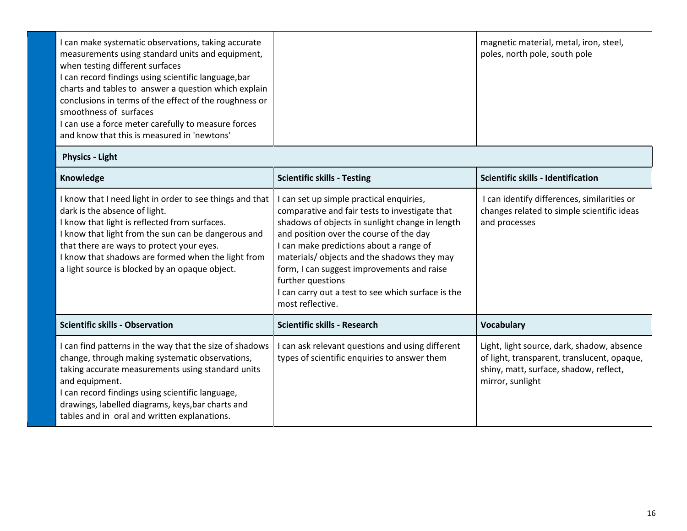| I can make systematic observations, taking accurate<br>measurements using standard units and equipment,<br>when testing different surfaces | magnetic material, metal, iron, steel,<br>poles, north pole, south pole |
|--------------------------------------------------------------------------------------------------------------------------------------------|-------------------------------------------------------------------------|
|                                                                                                                                            |                                                                         |
| I can record findings using scientific language, bar                                                                                       |                                                                         |
| charts and tables to answer a question which explain                                                                                       |                                                                         |
| conclusions in terms of the effect of the roughness or                                                                                     |                                                                         |
| smoothness of surfaces                                                                                                                     |                                                                         |
| I can use a force meter carefully to measure forces                                                                                        |                                                                         |
| and know that this is measured in 'newtons'                                                                                                |                                                                         |

#### **Physics - Light**

| Knowledge                                                                                                                                                                                                                                                                                                                                              | <b>Scientific skills - Testing</b>                                                                                                                                                                                                                                                                                                                                                                                           | <b>Scientific skills - Identification</b>                                                                                                               |
|--------------------------------------------------------------------------------------------------------------------------------------------------------------------------------------------------------------------------------------------------------------------------------------------------------------------------------------------------------|------------------------------------------------------------------------------------------------------------------------------------------------------------------------------------------------------------------------------------------------------------------------------------------------------------------------------------------------------------------------------------------------------------------------------|---------------------------------------------------------------------------------------------------------------------------------------------------------|
| I know that I need light in order to see things and that<br>dark is the absence of light.<br>I know that light is reflected from surfaces.<br>I know that light from the sun can be dangerous and<br>that there are ways to protect your eyes.<br>I know that shadows are formed when the light from<br>a light source is blocked by an opaque object. | can set up simple practical enquiries,<br>comparative and fair tests to investigate that<br>shadows of objects in sunlight change in length<br>and position over the course of the day<br>I can make predictions about a range of<br>materials/objects and the shadows they may<br>form, I can suggest improvements and raise<br>further questions<br>I can carry out a test to see which surface is the<br>most reflective. | I can identify differences, similarities or<br>changes related to simple scientific ideas<br>and processes                                              |
| <b>Scientific skills - Observation</b>                                                                                                                                                                                                                                                                                                                 | <b>Scientific skills - Research</b>                                                                                                                                                                                                                                                                                                                                                                                          | <b>Vocabulary</b>                                                                                                                                       |
| I can find patterns in the way that the size of shadows<br>change, through making systematic observations,<br>taking accurate measurements using standard units<br>and equipment.<br>I can record findings using scientific language,<br>drawings, labelled diagrams, keys, bar charts and<br>tables and in oral and written explanations.             | I can ask relevant questions and using different<br>types of scientific enquiries to answer them                                                                                                                                                                                                                                                                                                                             | Light, light source, dark, shadow, absence<br>of light, transparent, translucent, opaque,<br>shiny, matt, surface, shadow, reflect,<br>mirror, sunlight |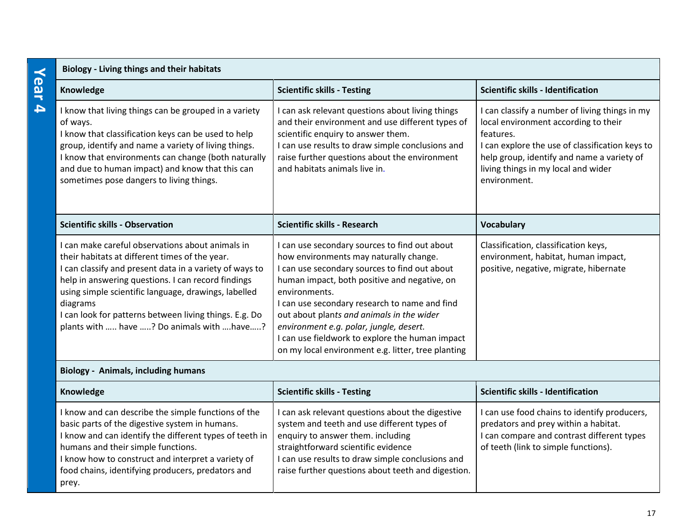| <b>Biology - Living things and their habitats</b>                                                                                                                                                                                                                                                                                                                                              |                                                                                                                                                                                                                                                                                                                                                                                                                                                             |                                                                                                                                                                                                                                                             |
|------------------------------------------------------------------------------------------------------------------------------------------------------------------------------------------------------------------------------------------------------------------------------------------------------------------------------------------------------------------------------------------------|-------------------------------------------------------------------------------------------------------------------------------------------------------------------------------------------------------------------------------------------------------------------------------------------------------------------------------------------------------------------------------------------------------------------------------------------------------------|-------------------------------------------------------------------------------------------------------------------------------------------------------------------------------------------------------------------------------------------------------------|
| Knowledge                                                                                                                                                                                                                                                                                                                                                                                      | <b>Scientific skills - Testing</b>                                                                                                                                                                                                                                                                                                                                                                                                                          | <b>Scientific skills - Identification</b>                                                                                                                                                                                                                   |
| I know that living things can be grouped in a variety<br>of ways.<br>I know that classification keys can be used to help<br>group, identify and name a variety of living things.<br>I know that environments can change (both naturally<br>and due to human impact) and know that this can<br>sometimes pose dangers to living things.                                                         | I can ask relevant questions about living things<br>and their environment and use different types of<br>scientific enquiry to answer them.<br>I can use results to draw simple conclusions and<br>raise further questions about the environment<br>and habitats animals live in.                                                                                                                                                                            | I can classify a number of living things in my<br>local environment according to their<br>features.<br>I can explore the use of classification keys to<br>help group, identify and name a variety of<br>living things in my local and wider<br>environment. |
| <b>Scientific skills - Observation</b>                                                                                                                                                                                                                                                                                                                                                         | <b>Scientific skills - Research</b>                                                                                                                                                                                                                                                                                                                                                                                                                         | <b>Vocabulary</b>                                                                                                                                                                                                                                           |
| I can make careful observations about animals in<br>their habitats at different times of the year.<br>I can classify and present data in a variety of ways to<br>help in answering questions. I can record findings<br>using simple scientific language, drawings, labelled<br>diagrams<br>I can look for patterns between living things. E.g. Do<br>plants with  have ? Do animals with have? | I can use secondary sources to find out about<br>how environments may naturally change.<br>I can use secondary sources to find out about<br>human impact, both positive and negative, on<br>environments.<br>I can use secondary research to name and find<br>out about plants and animals in the wider<br>environment e.g. polar, jungle, desert.<br>I can use fieldwork to explore the human impact<br>on my local environment e.g. litter, tree planting | Classification, classification keys,<br>environment, habitat, human impact,<br>positive, negative, migrate, hibernate                                                                                                                                       |
| <b>Biology - Animals, including humans</b>                                                                                                                                                                                                                                                                                                                                                     |                                                                                                                                                                                                                                                                                                                                                                                                                                                             |                                                                                                                                                                                                                                                             |

| Knowledge                                                                                                                                                                                                                                                                                                                  | <b>Scientific skills - Testing</b>                                                                                                                                                                                                                                                    | <b>Scientific skills - Identification</b>                                                                                                                                  |
|----------------------------------------------------------------------------------------------------------------------------------------------------------------------------------------------------------------------------------------------------------------------------------------------------------------------------|---------------------------------------------------------------------------------------------------------------------------------------------------------------------------------------------------------------------------------------------------------------------------------------|----------------------------------------------------------------------------------------------------------------------------------------------------------------------------|
| I know and can describe the simple functions of the<br>basic parts of the digestive system in humans.<br>I know and can identify the different types of teeth in<br>humans and their simple functions.<br>I know how to construct and interpret a variety of<br>food chains, identifying producers, predators and<br>prey. | I can ask relevant questions about the digestive<br>system and teeth and use different types of<br>enquiry to answer them. including<br>straightforward scientific evidence<br>I can use results to draw simple conclusions and<br>raise further questions about teeth and digestion. | I can use food chains to identify producers,<br>predators and prey within a habitat.<br>I can compare and contrast different types<br>of teeth (link to simple functions). |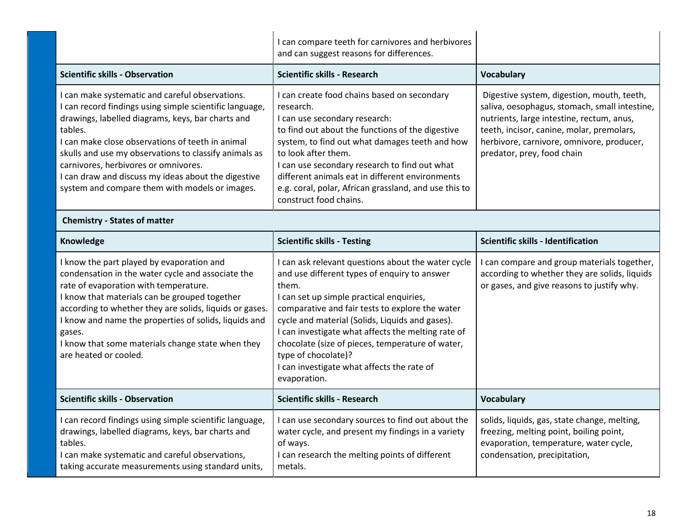|                                                                                                                                                                                                                                                                                                                                                                                                                                          | I can compare teeth for carnivores and herbivores<br>and can suggest reasons for differences.                                                                                                                                                                                                                                                                                                                                                                |                                                                                                                                                                                                                                                                  |
|------------------------------------------------------------------------------------------------------------------------------------------------------------------------------------------------------------------------------------------------------------------------------------------------------------------------------------------------------------------------------------------------------------------------------------------|--------------------------------------------------------------------------------------------------------------------------------------------------------------------------------------------------------------------------------------------------------------------------------------------------------------------------------------------------------------------------------------------------------------------------------------------------------------|------------------------------------------------------------------------------------------------------------------------------------------------------------------------------------------------------------------------------------------------------------------|
| <b>Scientific skills - Observation</b>                                                                                                                                                                                                                                                                                                                                                                                                   | <b>Scientific skills - Research</b>                                                                                                                                                                                                                                                                                                                                                                                                                          | <b>Vocabulary</b>                                                                                                                                                                                                                                                |
| I can make systematic and careful observations.<br>I can record findings using simple scientific language,<br>drawings, labelled diagrams, keys, bar charts and<br>tables.<br>I can make close observations of teeth in animal<br>skulls and use my observations to classify animals as<br>carnivores, herbivores or omnivores.<br>I can draw and discuss my ideas about the digestive<br>system and compare them with models or images. | I can create food chains based on secondary<br>research.<br>I can use secondary research:<br>to find out about the functions of the digestive<br>system, to find out what damages teeth and how<br>to look after them.<br>I can use secondary research to find out what<br>different animals eat in different environments<br>e.g. coral, polar, African grassland, and use this to<br>construct food chains.                                                | Digestive system, digestion, mouth, teeth,<br>saliva, oesophagus, stomach, small intestine,<br>nutrients, large intestine, rectum, anus,<br>teeth, incisor, canine, molar, premolars,<br>herbivore, carnivore, omnivore, producer,<br>predator, prey, food chain |
| <b>Chemistry - States of matter</b>                                                                                                                                                                                                                                                                                                                                                                                                      |                                                                                                                                                                                                                                                                                                                                                                                                                                                              |                                                                                                                                                                                                                                                                  |
| Knowledge                                                                                                                                                                                                                                                                                                                                                                                                                                | <b>Scientific skills - Testing</b>                                                                                                                                                                                                                                                                                                                                                                                                                           | <b>Scientific skills - Identification</b>                                                                                                                                                                                                                        |
| I know the part played by evaporation and<br>condensation in the water cycle and associate the<br>rate of evaporation with temperature.<br>I know that materials can be grouped together<br>according to whether they are solids, liquids or gases.<br>I know and name the properties of solids, liquids and<br>gases.<br>I know that some materials change state when they<br>are heated or cooled.                                     | I can ask relevant questions about the water cycle<br>and use different types of enquiry to answer<br>them.<br>I can set up simple practical enquiries,<br>comparative and fair tests to explore the water<br>cycle and material (Solids, Liquids and gases).<br>I can investigate what affects the melting rate of<br>chocolate (size of pieces, temperature of water,<br>type of chocolate)?<br>I can investigate what affects the rate of<br>evaporation. | I can compare and group materials together,<br>according to whether they are solids, liquids<br>or gases, and give reasons to justify why.                                                                                                                       |
| <b>Scientific skills - Observation</b>                                                                                                                                                                                                                                                                                                                                                                                                   | <b>Scientific skills - Research</b>                                                                                                                                                                                                                                                                                                                                                                                                                          | <b>Vocabulary</b>                                                                                                                                                                                                                                                |
| I can record findings using simple scientific language,<br>drawings, labelled diagrams, keys, bar charts and<br>tables.<br>I can make systematic and careful observations,<br>taking accurate measurements using standard units,                                                                                                                                                                                                         | I can use secondary sources to find out about the<br>water cycle, and present my findings in a variety<br>of ways.<br>I can research the melting points of different<br>metals.                                                                                                                                                                                                                                                                              | solids, liquids, gas, state change, melting,<br>freezing, melting point, boiling point,<br>evaporation, temperature, water cycle,<br>condensation, precipitation,                                                                                                |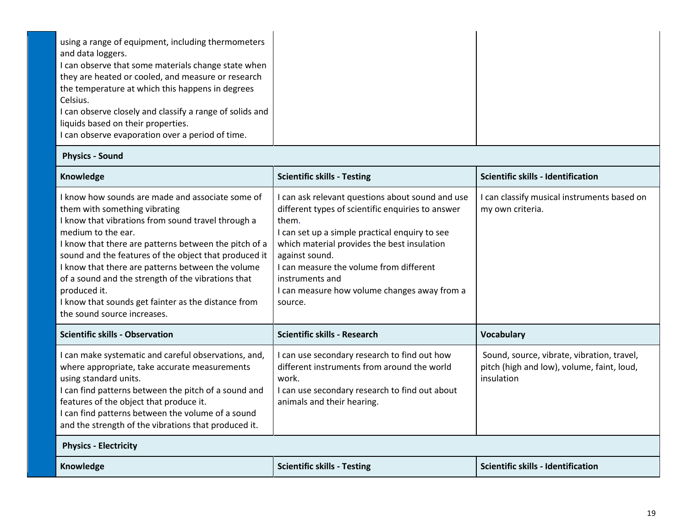| using a range of equipment, including thermometers<br>and data loggers.<br>I can observe that some materials change state when<br>they are heated or cooled, and measure or research<br>the temperature at which this happens in degrees<br>Celsius. |
|------------------------------------------------------------------------------------------------------------------------------------------------------------------------------------------------------------------------------------------------------|
| I can observe closely and classify a range of solids and                                                                                                                                                                                             |
| liquids based on their properties.<br>I can observe evaporation over a period of time.                                                                                                                                                               |

#### **Physics - Sound**

| Knowledge                                                                                                                                                                                                                                                                                                                                                                                                                                                                                        | <b>Scientific skills - Testing</b>                                                                                                                                                                                                                                                                                                                         | <b>Scientific skills - Identification</b>                                                              |
|--------------------------------------------------------------------------------------------------------------------------------------------------------------------------------------------------------------------------------------------------------------------------------------------------------------------------------------------------------------------------------------------------------------------------------------------------------------------------------------------------|------------------------------------------------------------------------------------------------------------------------------------------------------------------------------------------------------------------------------------------------------------------------------------------------------------------------------------------------------------|--------------------------------------------------------------------------------------------------------|
| I know how sounds are made and associate some of<br>them with something vibrating<br>I know that vibrations from sound travel through a<br>medium to the ear.<br>I know that there are patterns between the pitch of a<br>sound and the features of the object that produced it<br>I know that there are patterns between the volume<br>of a sound and the strength of the vibrations that<br>produced it.<br>I know that sounds get fainter as the distance from<br>the sound source increases. | I can ask relevant questions about sound and use<br>different types of scientific enquiries to answer<br>them.<br>I can set up a simple practical enquiry to see<br>which material provides the best insulation<br>against sound.<br>I can measure the volume from different<br>instruments and<br>I can measure how volume changes away from a<br>source. | I can classify musical instruments based on<br>my own criteria.                                        |
| <b>Scientific skills - Observation</b>                                                                                                                                                                                                                                                                                                                                                                                                                                                           | <b>Scientific skills - Research</b>                                                                                                                                                                                                                                                                                                                        | <b>Vocabulary</b>                                                                                      |
| can make systematic and careful observations, and,<br>where appropriate, take accurate measurements<br>using standard units.<br>can find patterns between the pitch of a sound and<br>features of the object that produce it.<br>can find patterns between the volume of a sound<br>and the strength of the vibrations that produced it.                                                                                                                                                         | I can use secondary research to find out how<br>different instruments from around the world<br>work.<br>I can use secondary research to find out about<br>animals and their hearing.                                                                                                                                                                       | Sound, source, vibrate, vibration, travel,<br>pitch (high and low), volume, faint, loud,<br>insulation |
| <b>Physics - Electricity</b>                                                                                                                                                                                                                                                                                                                                                                                                                                                                     |                                                                                                                                                                                                                                                                                                                                                            |                                                                                                        |
| Knowledge                                                                                                                                                                                                                                                                                                                                                                                                                                                                                        | <b>Scientific skills - Testing</b>                                                                                                                                                                                                                                                                                                                         | <b>Scientific skills - Identification</b>                                                              |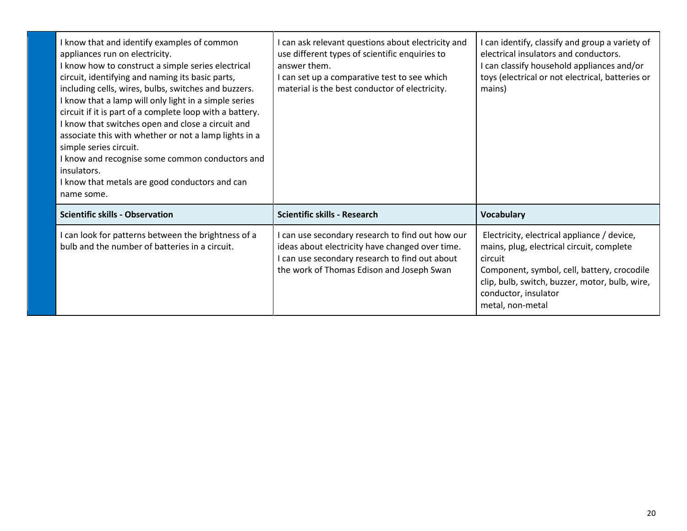| I know that and identify examples of common<br>appliances run on electricity.<br>I know how to construct a simple series electrical<br>circuit, identifying and naming its basic parts,<br>including cells, wires, bulbs, switches and buzzers.<br>I know that a lamp will only light in a simple series<br>circuit if it is part of a complete loop with a battery.<br>I know that switches open and close a circuit and<br>associate this with whether or not a lamp lights in a<br>simple series circuit.<br>I know and recognise some common conductors and<br>insulators.<br>I know that metals are good conductors and can<br>name some. | I can ask relevant questions about electricity and<br>use different types of scientific enquiries to<br>answer them.<br>I can set up a comparative test to see which<br>material is the best conductor of electricity. | I can identify, classify and group a variety of<br>electrical insulators and conductors.<br>I can classify household appliances and/or<br>toys (electrical or not electrical, batteries or<br>mains)                                             |
|------------------------------------------------------------------------------------------------------------------------------------------------------------------------------------------------------------------------------------------------------------------------------------------------------------------------------------------------------------------------------------------------------------------------------------------------------------------------------------------------------------------------------------------------------------------------------------------------------------------------------------------------|------------------------------------------------------------------------------------------------------------------------------------------------------------------------------------------------------------------------|--------------------------------------------------------------------------------------------------------------------------------------------------------------------------------------------------------------------------------------------------|
| <b>Scientific skills - Observation</b>                                                                                                                                                                                                                                                                                                                                                                                                                                                                                                                                                                                                         | <b>Scientific skills - Research</b>                                                                                                                                                                                    | <b>Vocabulary</b>                                                                                                                                                                                                                                |
| can look for patterns between the brightness of a<br>bulb and the number of batteries in a circuit.                                                                                                                                                                                                                                                                                                                                                                                                                                                                                                                                            | I can use secondary research to find out how our<br>ideas about electricity have changed over time.<br>I can use secondary research to find out about<br>the work of Thomas Edison and Joseph Swan                     | Electricity, electrical appliance / device,<br>mains, plug, electrical circuit, complete<br>circuit<br>Component, symbol, cell, battery, crocodile<br>clip, bulb, switch, buzzer, motor, bulb, wire,<br>conductor, insulator<br>metal, non-metal |

 $\overline{\phantom{a}}$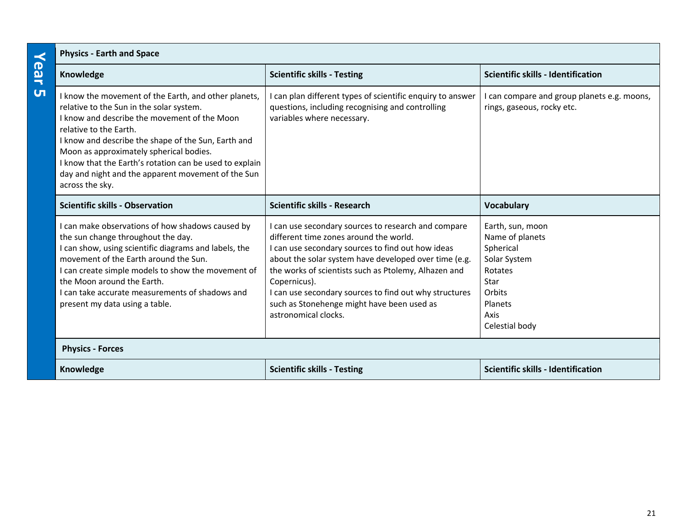#### **Physics Earth and Ca**

| Physics - Earth and Space                                                                                                                                                                                                                                                                                                                                                                                        |                                                                                                                                                                                                                                                                                                                                                                                                                     |                                                                                                                                    |
|------------------------------------------------------------------------------------------------------------------------------------------------------------------------------------------------------------------------------------------------------------------------------------------------------------------------------------------------------------------------------------------------------------------|---------------------------------------------------------------------------------------------------------------------------------------------------------------------------------------------------------------------------------------------------------------------------------------------------------------------------------------------------------------------------------------------------------------------|------------------------------------------------------------------------------------------------------------------------------------|
| Knowledge                                                                                                                                                                                                                                                                                                                                                                                                        | <b>Scientific skills - Testing</b>                                                                                                                                                                                                                                                                                                                                                                                  | <b>Scientific skills - Identification</b>                                                                                          |
| I know the movement of the Earth, and other planets,<br>relative to the Sun in the solar system.<br>I know and describe the movement of the Moon<br>relative to the Earth.<br>I know and describe the shape of the Sun, Earth and<br>Moon as approximately spherical bodies.<br>I know that the Earth's rotation can be used to explain<br>day and night and the apparent movement of the Sun<br>across the sky. | I can plan different types of scientific enquiry to answer<br>questions, including recognising and controlling<br>variables where necessary.                                                                                                                                                                                                                                                                        | I can compare and group planets e.g. moons,<br>rings, gaseous, rocky etc.                                                          |
| <b>Scientific skills - Observation</b>                                                                                                                                                                                                                                                                                                                                                                           | <b>Scientific skills - Research</b>                                                                                                                                                                                                                                                                                                                                                                                 | <b>Vocabulary</b>                                                                                                                  |
| can make observations of how shadows caused by<br>the sun change throughout the day.<br>I can show, using scientific diagrams and labels, the<br>movement of the Earth around the Sun.<br>I can create simple models to show the movement of<br>the Moon around the Earth.<br>I can take accurate measurements of shadows and<br>present my data using a table.                                                  | I can use secondary sources to research and compare<br>different time zones around the world.<br>I can use secondary sources to find out how ideas<br>about the solar system have developed over time (e.g.<br>the works of scientists such as Ptolemy, Alhazen and<br>Copernicus).<br>I can use secondary sources to find out why structures<br>such as Stonehenge might have been used as<br>astronomical clocks. | Earth, sun, moon<br>Name of planets<br>Spherical<br>Solar System<br>Rotates<br>Star<br>Orbits<br>Planets<br>Axis<br>Celestial body |
| <b>Physics - Forces</b>                                                                                                                                                                                                                                                                                                                                                                                          |                                                                                                                                                                                                                                                                                                                                                                                                                     |                                                                                                                                    |
| Knowledge                                                                                                                                                                                                                                                                                                                                                                                                        | <b>Scientific skills - Testing</b>                                                                                                                                                                                                                                                                                                                                                                                  | Scientific skills - Identification                                                                                                 |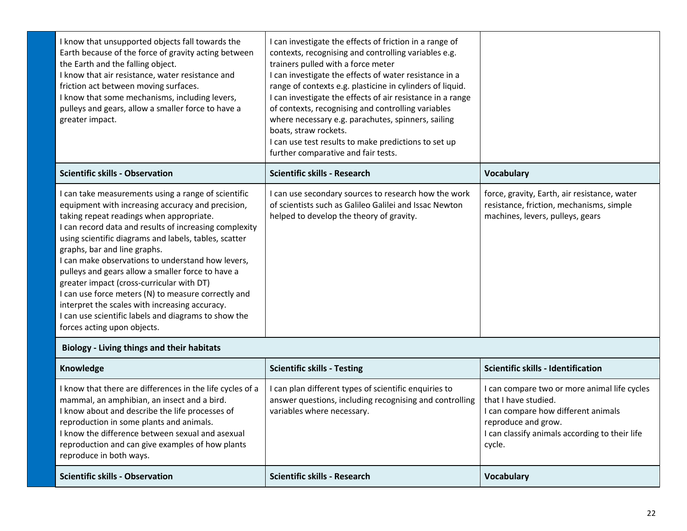| I know that unsupported objects fall towards the<br>Earth because of the force of gravity acting between<br>the Earth and the falling object.<br>I know that air resistance, water resistance and<br>friction act between moving surfaces.<br>I know that some mechanisms, including levers,<br>pulleys and gears, allow a smaller force to have a<br>greater impact.                                                                                                                                                                                                                                                                                        | can investigate the effects of friction in a range of<br>contexts, recognising and controlling variables e.g.<br>trainers pulled with a force meter<br>can investigate the effects of water resistance in a<br>range of contexts e.g. plasticine in cylinders of liquid.<br>can investigate the effects of air resistance in a range<br>of contexts, recognising and controlling variables<br>where necessary e.g. parachutes, spinners, sailing<br>boats, straw rockets.<br>can use test results to make predictions to set up<br>further comparative and fair tests. |                                                                                                                              |
|--------------------------------------------------------------------------------------------------------------------------------------------------------------------------------------------------------------------------------------------------------------------------------------------------------------------------------------------------------------------------------------------------------------------------------------------------------------------------------------------------------------------------------------------------------------------------------------------------------------------------------------------------------------|------------------------------------------------------------------------------------------------------------------------------------------------------------------------------------------------------------------------------------------------------------------------------------------------------------------------------------------------------------------------------------------------------------------------------------------------------------------------------------------------------------------------------------------------------------------------|------------------------------------------------------------------------------------------------------------------------------|
| <b>Scientific skills - Observation</b>                                                                                                                                                                                                                                                                                                                                                                                                                                                                                                                                                                                                                       | <b>Scientific skills - Research</b>                                                                                                                                                                                                                                                                                                                                                                                                                                                                                                                                    | <b>Vocabulary</b>                                                                                                            |
| can take measurements using a range of scientific<br>equipment with increasing accuracy and precision,<br>taking repeat readings when appropriate.<br>I can record data and results of increasing complexity<br>using scientific diagrams and labels, tables, scatter<br>graphs, bar and line graphs.<br>I can make observations to understand how levers,<br>pulleys and gears allow a smaller force to have a<br>greater impact (cross-curricular with DT)<br>I can use force meters (N) to measure correctly and<br>interpret the scales with increasing accuracy.<br>I can use scientific labels and diagrams to show the<br>forces acting upon objects. | can use secondary sources to research how the work<br>of scientists such as Galileo Galilei and Issac Newton<br>helped to develop the theory of gravity.                                                                                                                                                                                                                                                                                                                                                                                                               | force, gravity, Earth, air resistance, water<br>resistance, friction, mechanisms, simple<br>machines, levers, pulleys, gears |

### **Biology - Living things and their habitats**

| Knowledge                                                                                                                                                                                                                                                                                                                                | <b>Scientific skills - Testing</b>                                                                                                             | <b>Scientific skills - Identification</b>                                                                                                                                                      |
|------------------------------------------------------------------------------------------------------------------------------------------------------------------------------------------------------------------------------------------------------------------------------------------------------------------------------------------|------------------------------------------------------------------------------------------------------------------------------------------------|------------------------------------------------------------------------------------------------------------------------------------------------------------------------------------------------|
| know that there are differences in the life cycles of a<br>mammal, an amphibian, an insect and a bird.<br>I know about and describe the life processes of<br>reproduction in some plants and animals.<br>I know the difference between sexual and asexual<br>reproduction and can give examples of how plants<br>reproduce in both ways. | I can plan different types of scientific enquiries to<br>answer questions, including recognising and controlling<br>variables where necessary. | I can compare two or more animal life cycles<br>that I have studied.<br>I can compare how different animals<br>reproduce and grow.<br>I can classify animals according to their life<br>cycle. |
| <b>Scientific skills - Observation</b>                                                                                                                                                                                                                                                                                                   | <b>Scientific skills - Research</b>                                                                                                            | <b>Vocabulary</b>                                                                                                                                                                              |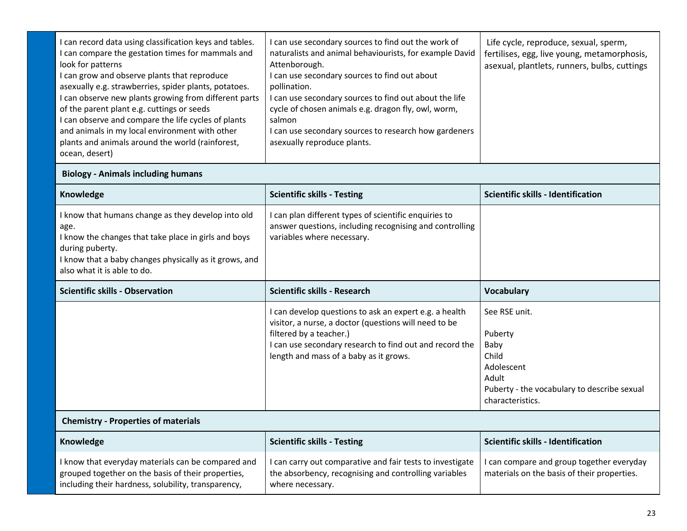| I can record data using classification keys and tables.<br>I can compare the gestation times for mammals and<br>look for patterns<br>I can grow and observe plants that reproduce<br>asexually e.g. strawberries, spider plants, potatoes.<br>I can observe new plants growing from different parts<br>of the parent plant e.g. cuttings or seeds<br>I can observe and compare the life cycles of plants<br>and animals in my local environment with other<br>plants and animals around the world (rainforest, | I can use secondary sources to find out the work of<br>naturalists and animal behaviourists, for example David<br>Attenborough.<br>can use secondary sources to find out about<br>pollination.<br>can use secondary sources to find out about the life<br>cycle of chosen animals e.g. dragon fly, owl, worm,<br>salmon<br>I can use secondary sources to research how gardeners<br>asexually reproduce plants. | Life cycle, reproduce, sexual, sperm,<br>fertilises, egg, live young, metamorphosis,<br>asexual, plantlets, runners, bulbs, cuttings |
|----------------------------------------------------------------------------------------------------------------------------------------------------------------------------------------------------------------------------------------------------------------------------------------------------------------------------------------------------------------------------------------------------------------------------------------------------------------------------------------------------------------|-----------------------------------------------------------------------------------------------------------------------------------------------------------------------------------------------------------------------------------------------------------------------------------------------------------------------------------------------------------------------------------------------------------------|--------------------------------------------------------------------------------------------------------------------------------------|
| ocean, desert)                                                                                                                                                                                                                                                                                                                                                                                                                                                                                                 |                                                                                                                                                                                                                                                                                                                                                                                                                 |                                                                                                                                      |

#### **Biology - Animals including humans**

| <b>Knowledge</b>                                                                                                                                                                                                               | <b>Scientific skills - Testing</b>                                                                                                                                                                                                          | <b>Scientific skills - Identification</b>                                                                                           |
|--------------------------------------------------------------------------------------------------------------------------------------------------------------------------------------------------------------------------------|---------------------------------------------------------------------------------------------------------------------------------------------------------------------------------------------------------------------------------------------|-------------------------------------------------------------------------------------------------------------------------------------|
| I know that humans change as they develop into old<br>age.<br>I know the changes that take place in girls and boys<br>during puberty.<br>I know that a baby changes physically as it grows, and<br>also what it is able to do. | I can plan different types of scientific enquiries to<br>answer questions, including recognising and controlling<br>variables where necessary.                                                                                              |                                                                                                                                     |
| <b>Scientific skills - Observation</b>                                                                                                                                                                                         | Scientific skills - Research                                                                                                                                                                                                                | <b>Vocabulary</b>                                                                                                                   |
|                                                                                                                                                                                                                                | can develop questions to ask an expert e.g. a health<br>visitor, a nurse, a doctor (questions will need to be<br>filtered by a teacher.)<br>can use secondary research to find out and record the<br>length and mass of a baby as it grows. | See RSE unit.<br>Puberty<br>Baby<br>Child<br>Adolescent<br>Adult<br>Puberty - the vocabulary to describe sexual<br>characteristics. |

#### **Chemistry - Properties of materials**

| Knowledge                                                                                                                                                       | <b>Scientific skills - Testing</b>                                                                                                     | <b>Scientific skills - Identification</b>                                                |
|-----------------------------------------------------------------------------------------------------------------------------------------------------------------|----------------------------------------------------------------------------------------------------------------------------------------|------------------------------------------------------------------------------------------|
| I know that everyday materials can be compared and<br>grouped together on the basis of their properties,<br>including their hardness, solubility, transparency, | I can carry out comparative and fair tests to investigate<br>the absorbency, recognising and controlling variables<br>where necessary. | I can compare and group together everyday<br>materials on the basis of their properties. |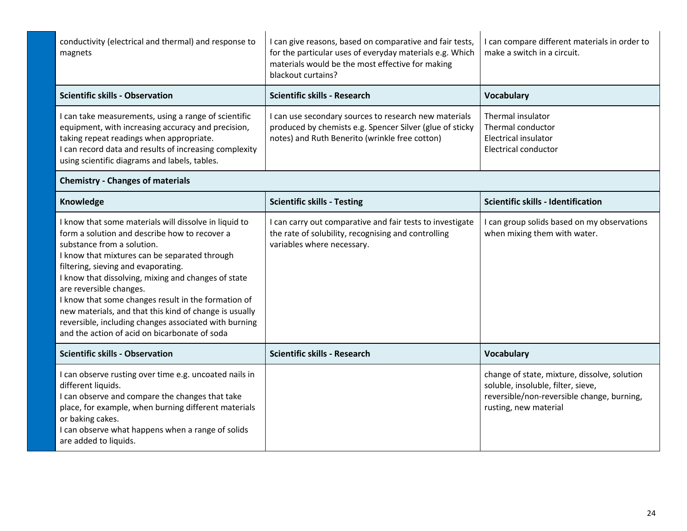| conductivity (electrical and thermal) and response to<br>magnets                                                                                                                                                                                                                                                                                                                                                                                                                                                                          | I can give reasons, based on comparative and fair tests,<br>for the particular uses of everyday materials e.g. Which<br>materials would be the most effective for making<br>blackout curtains? | I can compare different materials in order to<br>make a switch in a circuit.                                                                              |
|-------------------------------------------------------------------------------------------------------------------------------------------------------------------------------------------------------------------------------------------------------------------------------------------------------------------------------------------------------------------------------------------------------------------------------------------------------------------------------------------------------------------------------------------|------------------------------------------------------------------------------------------------------------------------------------------------------------------------------------------------|-----------------------------------------------------------------------------------------------------------------------------------------------------------|
| <b>Scientific skills - Observation</b>                                                                                                                                                                                                                                                                                                                                                                                                                                                                                                    | <b>Scientific skills - Research</b>                                                                                                                                                            | <b>Vocabulary</b>                                                                                                                                         |
| I can take measurements, using a range of scientific<br>equipment, with increasing accuracy and precision,<br>taking repeat readings when appropriate.<br>I can record data and results of increasing complexity<br>using scientific diagrams and labels, tables.                                                                                                                                                                                                                                                                         | I can use secondary sources to research new materials<br>produced by chemists e.g. Spencer Silver (glue of sticky<br>notes) and Ruth Benerito (wrinkle free cotton)                            | Thermal insulator<br>Thermal conductor<br><b>Electrical insulator</b><br><b>Electrical conductor</b>                                                      |
| <b>Chemistry - Changes of materials</b>                                                                                                                                                                                                                                                                                                                                                                                                                                                                                                   |                                                                                                                                                                                                |                                                                                                                                                           |
| Knowledge                                                                                                                                                                                                                                                                                                                                                                                                                                                                                                                                 | <b>Scientific skills - Testing</b>                                                                                                                                                             | <b>Scientific skills - Identification</b>                                                                                                                 |
| I know that some materials will dissolve in liquid to<br>form a solution and describe how to recover a<br>substance from a solution.<br>I know that mixtures can be separated through<br>filtering, sieving and evaporating.<br>I know that dissolving, mixing and changes of state<br>are reversible changes.<br>I know that some changes result in the formation of<br>new materials, and that this kind of change is usually<br>reversible, including changes associated with burning<br>and the action of acid on bicarbonate of soda | I can carry out comparative and fair tests to investigate<br>the rate of solubility, recognising and controlling<br>variables where necessary.                                                 | I can group solids based on my observations<br>when mixing them with water.                                                                               |
| <b>Scientific skills - Observation</b>                                                                                                                                                                                                                                                                                                                                                                                                                                                                                                    | <b>Scientific skills - Research</b>                                                                                                                                                            | <b>Vocabulary</b>                                                                                                                                         |
| I can observe rusting over time e.g. uncoated nails in<br>different liquids.<br>I can observe and compare the changes that take<br>place, for example, when burning different materials<br>or baking cakes.<br>I can observe what happens when a range of solids<br>are added to liquids.                                                                                                                                                                                                                                                 |                                                                                                                                                                                                | change of state, mixture, dissolve, solution<br>soluble, insoluble, filter, sieve,<br>reversible/non-reversible change, burning,<br>rusting, new material |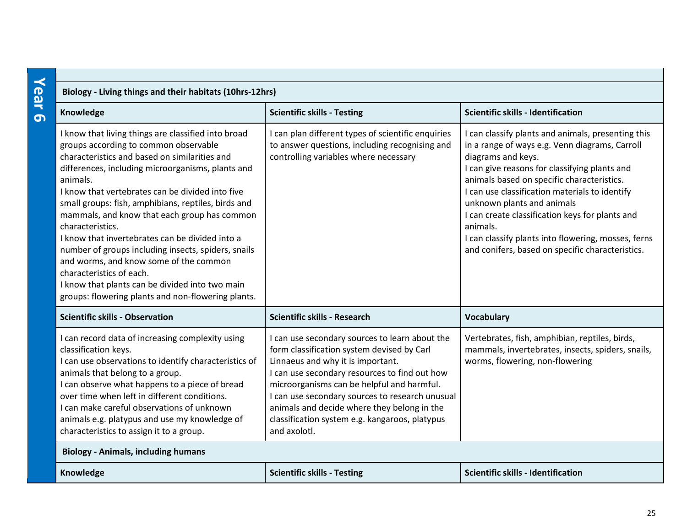| an an |
|-------|

| Biology - Living things and their habitats (10hrs-12hrs)                                                                                                                                                                                                                                                                                                                                                                                                                                                                                                                                                                                                                               |                                                                                                                                                                                                                                                                                                                                                                                                      |                                                                                                                                                                                                                                                                                                                                                                                                                                                                                     |
|----------------------------------------------------------------------------------------------------------------------------------------------------------------------------------------------------------------------------------------------------------------------------------------------------------------------------------------------------------------------------------------------------------------------------------------------------------------------------------------------------------------------------------------------------------------------------------------------------------------------------------------------------------------------------------------|------------------------------------------------------------------------------------------------------------------------------------------------------------------------------------------------------------------------------------------------------------------------------------------------------------------------------------------------------------------------------------------------------|-------------------------------------------------------------------------------------------------------------------------------------------------------------------------------------------------------------------------------------------------------------------------------------------------------------------------------------------------------------------------------------------------------------------------------------------------------------------------------------|
| Knowledge                                                                                                                                                                                                                                                                                                                                                                                                                                                                                                                                                                                                                                                                              | <b>Scientific skills - Testing</b>                                                                                                                                                                                                                                                                                                                                                                   | <b>Scientific skills - Identification</b>                                                                                                                                                                                                                                                                                                                                                                                                                                           |
| I know that living things are classified into broad<br>groups according to common observable<br>characteristics and based on similarities and<br>differences, including microorganisms, plants and<br>animals.<br>I know that vertebrates can be divided into five<br>small groups: fish, amphibians, reptiles, birds and<br>mammals, and know that each group has common<br>characteristics.<br>I know that invertebrates can be divided into a<br>number of groups including insects, spiders, snails<br>and worms, and know some of the common<br>characteristics of each.<br>I know that plants can be divided into two main<br>groups: flowering plants and non-flowering plants. | I can plan different types of scientific enquiries<br>to answer questions, including recognising and<br>controlling variables where necessary                                                                                                                                                                                                                                                        | I can classify plants and animals, presenting this<br>in a range of ways e.g. Venn diagrams, Carroll<br>diagrams and keys.<br>I can give reasons for classifying plants and<br>animals based on specific characteristics.<br>I can use classification materials to identify<br>unknown plants and animals<br>I can create classification keys for plants and<br>animals.<br>I can classify plants into flowering, mosses, ferns<br>and conifers, based on specific characteristics. |
| <b>Scientific skills - Observation</b>                                                                                                                                                                                                                                                                                                                                                                                                                                                                                                                                                                                                                                                 | <b>Scientific skills - Research</b>                                                                                                                                                                                                                                                                                                                                                                  | <b>Vocabulary</b>                                                                                                                                                                                                                                                                                                                                                                                                                                                                   |
| I can record data of increasing complexity using<br>classification keys.<br>I can use observations to identify characteristics of<br>animals that belong to a group.<br>I can observe what happens to a piece of bread<br>over time when left in different conditions.<br>I can make careful observations of unknown<br>animals e.g. platypus and use my knowledge of<br>characteristics to assign it to a group.                                                                                                                                                                                                                                                                      | I can use secondary sources to learn about the<br>form classification system devised by Carl<br>Linnaeus and why it is important.<br>I can use secondary resources to find out how<br>microorganisms can be helpful and harmful.<br>I can use secondary sources to research unusual<br>animals and decide where they belong in the<br>classification system e.g. kangaroos, platypus<br>and axolotl. | Vertebrates, fish, amphibian, reptiles, birds,<br>mammals, invertebrates, insects, spiders, snails,<br>worms, flowering, non-flowering                                                                                                                                                                                                                                                                                                                                              |
| <b>Biology - Animals, including humans</b>                                                                                                                                                                                                                                                                                                                                                                                                                                                                                                                                                                                                                                             |                                                                                                                                                                                                                                                                                                                                                                                                      |                                                                                                                                                                                                                                                                                                                                                                                                                                                                                     |
| Knowledge                                                                                                                                                                                                                                                                                                                                                                                                                                                                                                                                                                                                                                                                              | <b>Scientific skills - Testing</b>                                                                                                                                                                                                                                                                                                                                                                   | <b>Scientific skills - Identification</b>                                                                                                                                                                                                                                                                                                                                                                                                                                           |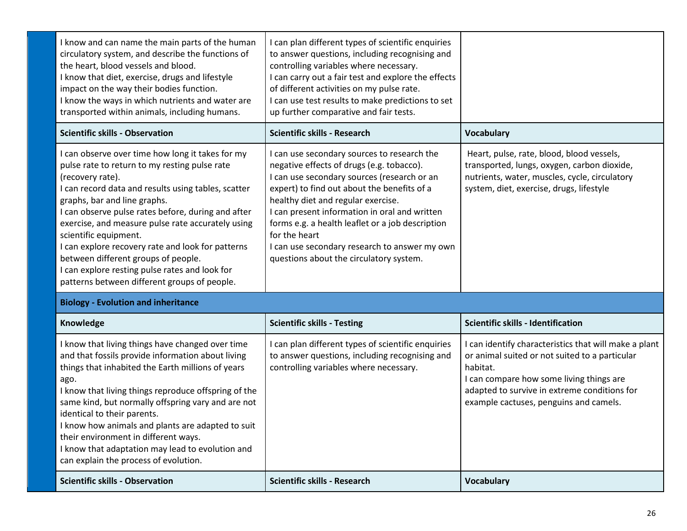| I know and can name the main parts of the human<br>circulatory system, and describe the functions of<br>the heart, blood vessels and blood.<br>I know that diet, exercise, drugs and lifestyle<br>impact on the way their bodies function.<br>I know the ways in which nutrients and water are<br>transported within animals, including humans.                                                                                                                                                                                                | I can plan different types of scientific enquiries<br>to answer questions, including recognising and<br>controlling variables where necessary.<br>I can carry out a fair test and explore the effects<br>of different activities on my pulse rate.<br>I can use test results to make predictions to set<br>up further comparative and fair tests.                                                                                              |                                                                                                                                                                                                                                                           |
|------------------------------------------------------------------------------------------------------------------------------------------------------------------------------------------------------------------------------------------------------------------------------------------------------------------------------------------------------------------------------------------------------------------------------------------------------------------------------------------------------------------------------------------------|------------------------------------------------------------------------------------------------------------------------------------------------------------------------------------------------------------------------------------------------------------------------------------------------------------------------------------------------------------------------------------------------------------------------------------------------|-----------------------------------------------------------------------------------------------------------------------------------------------------------------------------------------------------------------------------------------------------------|
| <b>Scientific skills - Observation</b>                                                                                                                                                                                                                                                                                                                                                                                                                                                                                                         | <b>Scientific skills - Research</b>                                                                                                                                                                                                                                                                                                                                                                                                            | <b>Vocabulary</b>                                                                                                                                                                                                                                         |
| I can observe over time how long it takes for my<br>pulse rate to return to my resting pulse rate<br>(recovery rate).<br>I can record data and results using tables, scatter<br>graphs, bar and line graphs.<br>I can observe pulse rates before, during and after<br>exercise, and measure pulse rate accurately using<br>scientific equipment.<br>I can explore recovery rate and look for patterns<br>between different groups of people.<br>I can explore resting pulse rates and look for<br>patterns between different groups of people. | I can use secondary sources to research the<br>negative effects of drugs (e.g. tobacco).<br>I can use secondary sources (research or an<br>expert) to find out about the benefits of a<br>healthy diet and regular exercise.<br>I can present information in oral and written<br>forms e.g. a health leaflet or a job description<br>for the heart<br>I can use secondary research to answer my own<br>questions about the circulatory system. | Heart, pulse, rate, blood, blood vessels,<br>transported, lungs, oxygen, carbon dioxide,<br>nutrients, water, muscles, cycle, circulatory<br>system, diet, exercise, drugs, lifestyle                                                                     |
| <b>Biology - Evolution and inheritance</b>                                                                                                                                                                                                                                                                                                                                                                                                                                                                                                     |                                                                                                                                                                                                                                                                                                                                                                                                                                                |                                                                                                                                                                                                                                                           |
| Knowledge                                                                                                                                                                                                                                                                                                                                                                                                                                                                                                                                      | <b>Scientific skills - Testing</b>                                                                                                                                                                                                                                                                                                                                                                                                             | <b>Scientific skills - Identification</b>                                                                                                                                                                                                                 |
| I know that living things have changed over time<br>and that fossils provide information about living<br>things that inhabited the Earth millions of years<br>ago.<br>I know that living things reproduce offspring of the<br>same kind, but normally offspring vary and are not<br>identical to their parents.<br>I know how animals and plants are adapted to suit<br>their environment in different ways.<br>I know that adaptation may lead to evolution and<br>can explain the process of evolution.                                      | I can plan different types of scientific enquiries<br>to answer questions, including recognising and<br>controlling variables where necessary.                                                                                                                                                                                                                                                                                                 | I can identify characteristics that will make a plant<br>or animal suited or not suited to a particular<br>habitat.<br>I can compare how some living things are<br>adapted to survive in extreme conditions for<br>example cactuses, penguins and camels. |
| <b>Scientific skills - Observation</b>                                                                                                                                                                                                                                                                                                                                                                                                                                                                                                         | <b>Scientific skills - Research</b>                                                                                                                                                                                                                                                                                                                                                                                                            | <b>Vocabulary</b>                                                                                                                                                                                                                                         |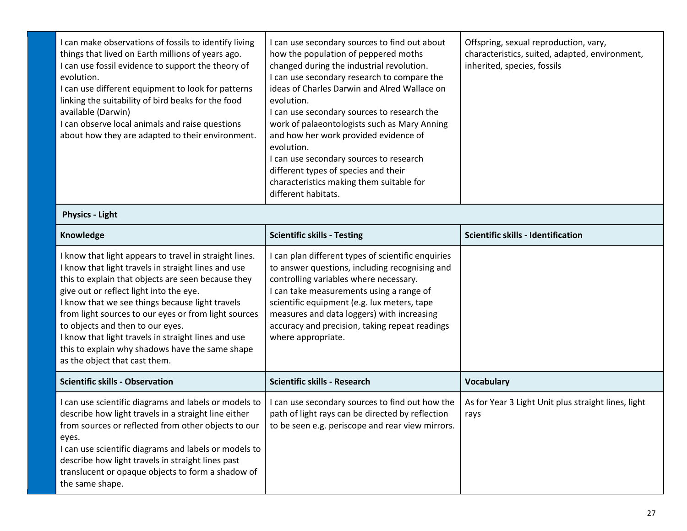| can make observations of fossils to identify living<br>things that lived on Earth millions of years ago.<br>I can use fossil evidence to support the theory of<br>evolution.<br>I can use different equipment to look for patterns<br>linking the suitability of bird beaks for the food<br>available (Darwin)<br>I can observe local animals and raise questions<br>about how they are adapted to their environment.                                                                                    | I can use secondary sources to find out about<br>how the population of peppered moths<br>changed during the industrial revolution.<br>I can use secondary research to compare the<br>ideas of Charles Darwin and Alred Wallace on<br>evolution.<br>I can use secondary sources to research the<br>work of palaeontologists such as Mary Anning<br>and how her work provided evidence of<br>evolution.<br>I can use secondary sources to research<br>different types of species and their<br>characteristics making them suitable for<br>different habitats. | Offspring, sexual reproduction, vary,<br>characteristics, suited, adapted, environment,<br>inherited, species, fossils |
|----------------------------------------------------------------------------------------------------------------------------------------------------------------------------------------------------------------------------------------------------------------------------------------------------------------------------------------------------------------------------------------------------------------------------------------------------------------------------------------------------------|-------------------------------------------------------------------------------------------------------------------------------------------------------------------------------------------------------------------------------------------------------------------------------------------------------------------------------------------------------------------------------------------------------------------------------------------------------------------------------------------------------------------------------------------------------------|------------------------------------------------------------------------------------------------------------------------|
| <b>Physics - Light</b>                                                                                                                                                                                                                                                                                                                                                                                                                                                                                   |                                                                                                                                                                                                                                                                                                                                                                                                                                                                                                                                                             |                                                                                                                        |
| Knowledge                                                                                                                                                                                                                                                                                                                                                                                                                                                                                                | <b>Scientific skills - Testing</b>                                                                                                                                                                                                                                                                                                                                                                                                                                                                                                                          | <b>Scientific skills - Identification</b>                                                                              |
| I know that light appears to travel in straight lines.<br>I know that light travels in straight lines and use<br>this to explain that objects are seen because they<br>give out or reflect light into the eye.<br>I know that we see things because light travels<br>from light sources to our eyes or from light sources<br>to objects and then to our eyes.<br>I know that light travels in straight lines and use<br>this to explain why shadows have the same shape<br>as the object that cast them. | I can plan different types of scientific enquiries<br>to answer questions, including recognising and<br>controlling variables where necessary.<br>I can take measurements using a range of<br>scientific equipment (e.g. lux meters, tape<br>measures and data loggers) with increasing<br>accuracy and precision, taking repeat readings<br>where appropriate.                                                                                                                                                                                             |                                                                                                                        |
| <b>Scientific skills - Observation</b>                                                                                                                                                                                                                                                                                                                                                                                                                                                                   | <b>Scientific skills - Research</b>                                                                                                                                                                                                                                                                                                                                                                                                                                                                                                                         | Vocabulary                                                                                                             |
| I can use scientific diagrams and labels or models to<br>describe how light travels in a straight line either<br>from sources or reflected from other objects to our<br>eyes.<br>I can use scientific diagrams and labels or models to<br>describe how light travels in straight lines past<br>translucent or opaque objects to form a shadow of<br>the same shape.                                                                                                                                      | I can use secondary sources to find out how the<br>path of light rays can be directed by reflection<br>to be seen e.g. periscope and rear view mirrors.                                                                                                                                                                                                                                                                                                                                                                                                     | As for Year 3 Light Unit plus straight lines, light<br>rays                                                            |